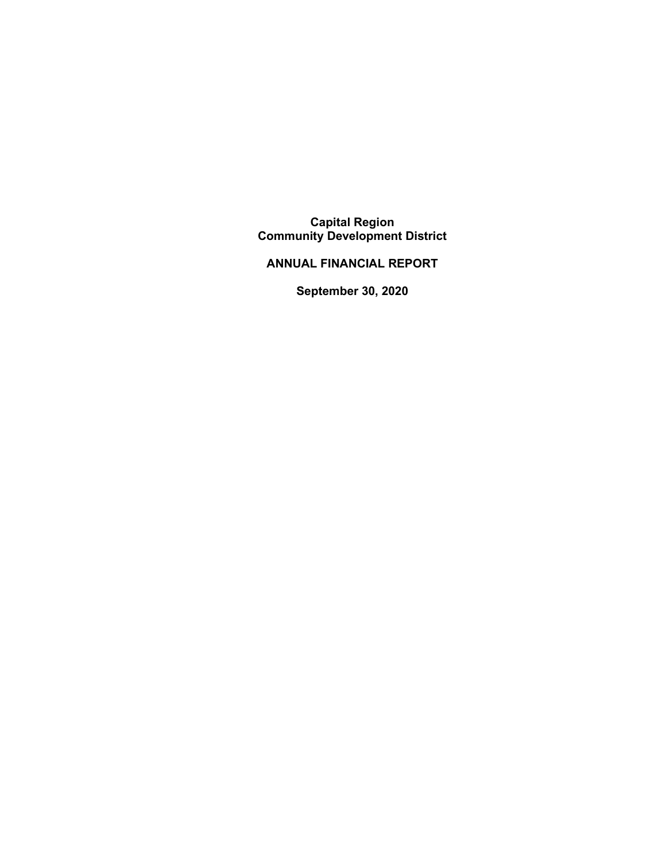**Capital Region Community Development District**

**ANNUAL FINANCIAL REPORT**

**September 30, 2020**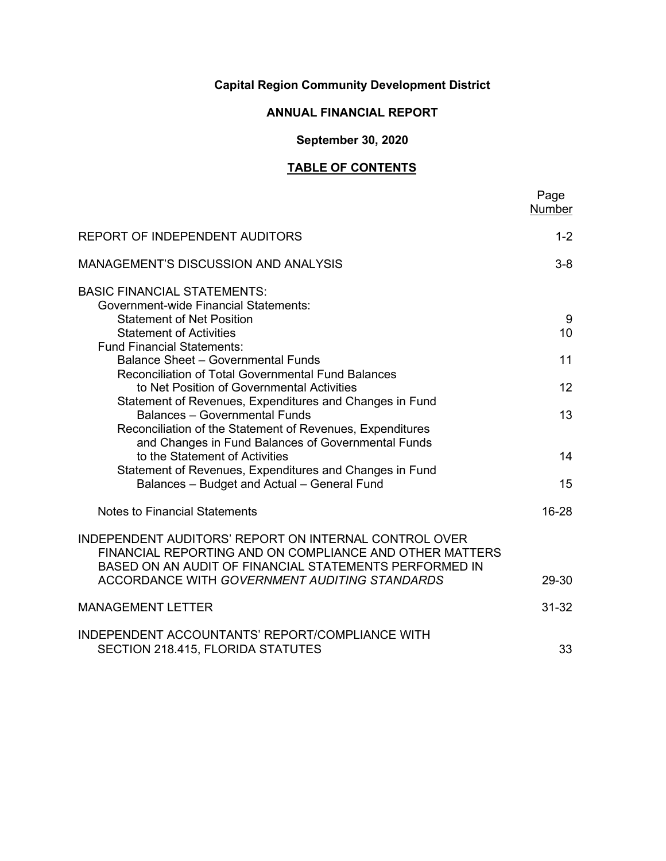# **Capital Region Community Development District**

# **ANNUAL FINANCIAL REPORT**

# **September 30, 2020**

# **TABLE OF CONTENTS**

|                                                                                                                                                                                   | Page<br>Number |
|-----------------------------------------------------------------------------------------------------------------------------------------------------------------------------------|----------------|
| <b>REPORT OF INDEPENDENT AUDITORS</b>                                                                                                                                             | $1 - 2$        |
| <b>MANAGEMENT'S DISCUSSION AND ANALYSIS</b>                                                                                                                                       | $3 - 8$        |
| <b>BASIC FINANCIAL STATEMENTS:</b><br><b>Government-wide Financial Statements:</b>                                                                                                |                |
| <b>Statement of Net Position</b><br><b>Statement of Activities</b>                                                                                                                | 9<br>10        |
| <b>Fund Financial Statements:</b><br><b>Balance Sheet - Governmental Funds</b><br><b>Reconciliation of Total Governmental Fund Balances</b>                                       | 11             |
| to Net Position of Governmental Activities<br>Statement of Revenues, Expenditures and Changes in Fund                                                                             | 12             |
| <b>Balances - Governmental Funds</b><br>Reconciliation of the Statement of Revenues, Expenditures                                                                                 | 13             |
| and Changes in Fund Balances of Governmental Funds<br>to the Statement of Activities<br>Statement of Revenues, Expenditures and Changes in Fund                                   | 14             |
| Balances - Budget and Actual - General Fund                                                                                                                                       | 15             |
| <b>Notes to Financial Statements</b>                                                                                                                                              | 16-28          |
| <b>INDEPENDENT AUDITORS' REPORT ON INTERNAL CONTROL OVER</b><br>FINANCIAL REPORTING AND ON COMPLIANCE AND OTHER MATTERS<br>BASED ON AN AUDIT OF FINANCIAL STATEMENTS PERFORMED IN |                |
| <b>ACCORDANCE WITH GOVERNMENT AUDITING STANDARDS</b>                                                                                                                              | 29-30          |
| <b>MANAGEMENT LETTER</b>                                                                                                                                                          | $31 - 32$      |
| INDEPENDENT ACCOUNTANTS' REPORT/COMPLIANCE WITH<br>SECTION 218.415, FLORIDA STATUTES                                                                                              | 33             |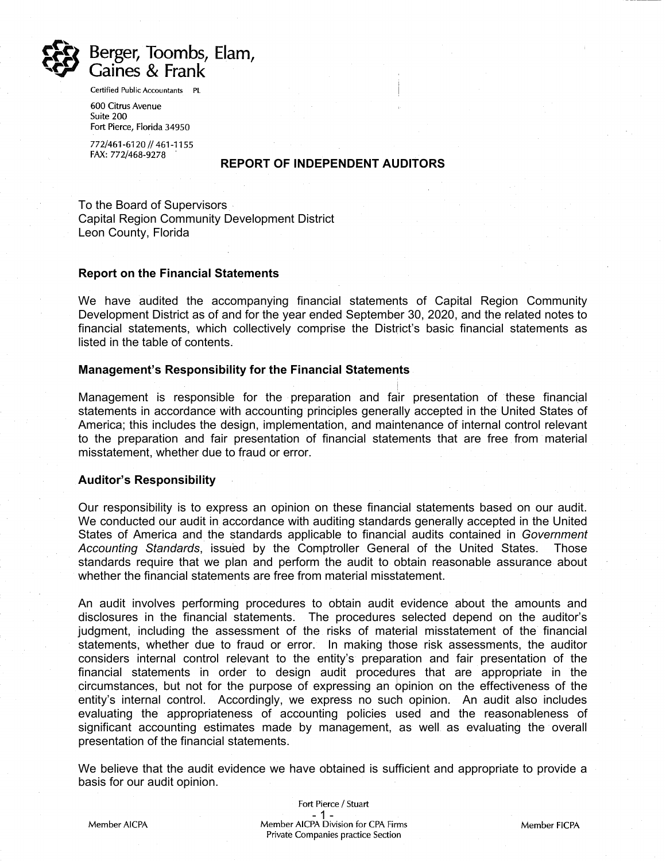

Certified Public Accountants PL

600 Citrus Avenue Suite 200 Fort Pierce, Florida 34950

772/461-6120 // 461-1155 FAX: 772/468-9278

#### **REPORT OF INDEPENDENT AUDITORS**

To the Board of Supervisors Capital Region Community Development District Leon County, Florida

#### **Report on the Financial Statements**

We have audited the accompanying financial statements of Capital Region Community Development District as of and for the year ended September 30, 2020, and the related notes to financial statements, which collectively comprise the District's basic financial statements as listed in the table of contents.

#### **Management's Responsibility for the Financial Statements**

Management is responsible for the preparation and fair presentation of these financial statements in accordance with accounting principles generally accepted in the United States of America; this includes the design, implementation, and maintenance of internal control relevant to the preparation and fair presentation of financial statements that are free from material misstatement, whether due to fraud or error.

#### **Auditor's Responsibility**

Our responsibility is to express an opinion on these financial statements based on our audit. We conducted our audit in accordance with auditing standards generally accepted in the United States of America and the standards applicable to financial audits contained in *Government Accounting Standards*, issued by the Comptroller General of the United States. Those standards require that we plan and perform the audit to obtain reasonable assurance about whether the financial statements are free from material misstatement.

An audit involves performing procedures to obtain audit evidence about the amounts and disclosures in the financial statements. The procedures selected depend on the auditor's judgment, including the assessment of the risks of material misstatement of the financial statements, whether due to fraud or error. In making those risk assessments, the auditor considers internal control relevant to the entity's preparation and fair presentation of the financial statements in order to design audit procedures that are appropriate in the circumstances, but not for the purpose of expressing an opinion on the effectiveness of the entity's internal control. Accordingly, we express no such opinion. An audit also includes evaluating the appropriateness of accounting policies used and the reasonableness of significant accounting estimates made by management, as well as evaluating the overall presentation of the financial statements.

We believe that the audit evidence we have obtained is sufficient and appropriate to provide a basis for our audit opinion.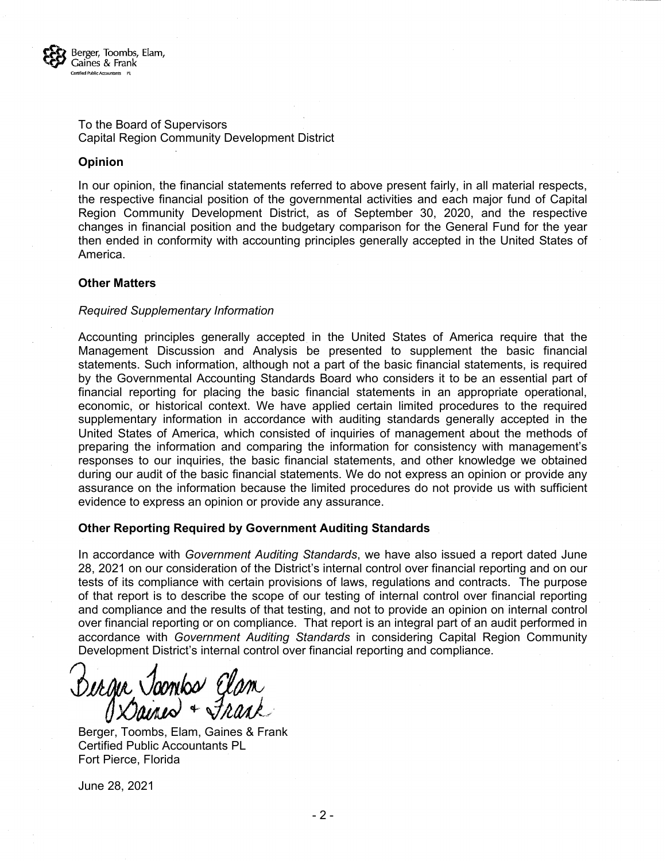

# To the Board of Supervisors

Capital Region Community Development District

#### **Opinion**

In our opinion, the financial statements referred to above present fairly, in all material respects, the respective financial position of the governmental activities and each major fund of Capital Region Community Development District, as of September 30, 2020, and the respective changes in financial position and the budgetary comparison for the General Fund for the year then ended in conformity with accounting principles generally accepted in the United States of America.

#### **Other Matters**

#### *Required Supplementary Information*

Accounting principles generally accepted in the United States of America require that the Management Discussion and Analysis be presented to supplement the basic financial statements. Such information, although not a part of the basic financial statements, is required by the Governmental Accounting Standards Board who considers it to be an essential part of financial reporting for placing the basic financial statements in an appropriate operational, economic, or historical context. We have applied certain limited procedures to the required supplementary information in accordance with auditing standards generally accepted in the United States of America, which consisted of inquiries of management about the methods of preparing the information and comparing the information for consistency with management's responses to our inquiries, the basic financial statements, and other knowledge we obtained during our audit of the basic financial statements. We do not express an opinion or provide any assurance on the information because the limited procedures do not provide us with sufficient evidence to express an opinion or provide any assurance.

#### **Other Reporting Required by Government Auditing Standards**

In accordance with *Government Auditing Standards*, we have also issued a report dated June 28, 2021 on our consideration of the District's internal control over financial reporting and on our tests of its compliance with certain provisions of laws, regulations and contracts. The purpose of that report is to describe the scope of our testing of internal control over financial reporting and compliance and the results of that testing, and not to provide an opinion on internal control over financial reporting or on compliance. That report is an integral part of an audit performed in accordance with *Government Auditing Standards* in considering Capital Region Community Development District's internal control over financial reporting and compliance.

"Bergir Joonbo Glam<br>Ixraines + Frank

Berger, Toombs, Elam, Gaines & Frank Certified Public Accountants PL Fort Pierce, Florida

June 28, 2021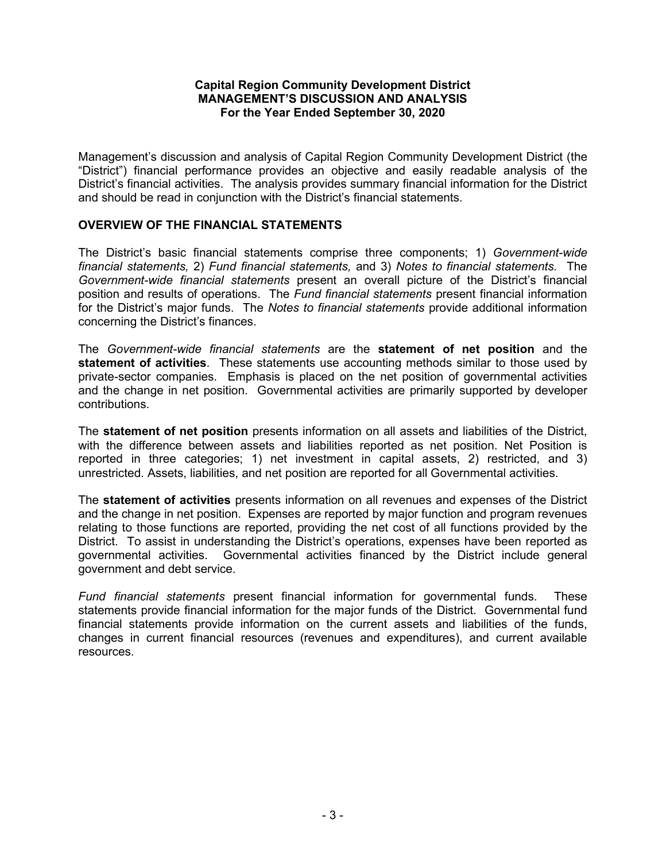Management's discussion and analysis of Capital Region Community Development District (the "District") financial performance provides an objective and easily readable analysis of the District's financial activities. The analysis provides summary financial information for the District and should be read in conjunction with the District's financial statements.

# **OVERVIEW OF THE FINANCIAL STATEMENTS**

The District's basic financial statements comprise three components; 1) *Government-wide financial statements,* 2) *Fund financial statements,* and 3) *Notes to financial statements.* The *Government-wide financial statements* present an overall picture of the District's financial position and results of operations. The *Fund financial statements* present financial information for the District's major funds. The *Notes to financial statements* provide additional information concerning the District's finances.

The *Government-wide financial statements* are the **statement of net position** and the **statement of activities**. These statements use accounting methods similar to those used by private-sector companies. Emphasis is placed on the net position of governmental activities and the change in net position. Governmental activities are primarily supported by developer contributions.

The **statement of net position** presents information on all assets and liabilities of the District, with the difference between assets and liabilities reported as net position. Net Position is reported in three categories; 1) net investment in capital assets, 2) restricted, and 3) unrestricted. Assets, liabilities, and net position are reported for all Governmental activities.

The **statement of activities** presents information on all revenues and expenses of the District and the change in net position. Expenses are reported by major function and program revenues relating to those functions are reported, providing the net cost of all functions provided by the District. To assist in understanding the District's operations, expenses have been reported as governmental activities. Governmental activities financed by the District include general government and debt service.

*Fund financial statements* present financial information for governmental funds. These statements provide financial information for the major funds of the District. Governmental fund financial statements provide information on the current assets and liabilities of the funds, changes in current financial resources (revenues and expenditures), and current available resources.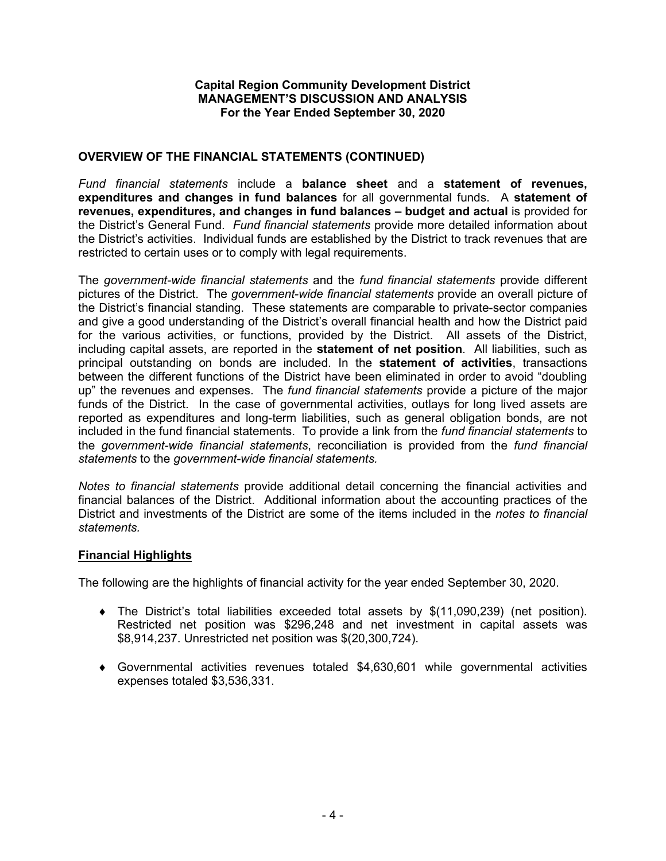# **OVERVIEW OF THE FINANCIAL STATEMENTS (CONTINUED)**

*Fund financial statements* include a **balance sheet** and a **statement of revenues, expenditures and changes in fund balances** for all governmental funds. A **statement of revenues, expenditures, and changes in fund balances – budget and actual** is provided for the District's General Fund. *Fund financial statements* provide more detailed information about the District's activities. Individual funds are established by the District to track revenues that are restricted to certain uses or to comply with legal requirements.

The *government-wide financial statements* and the *fund financial statements* provide different pictures of the District. The *government-wide financial statements* provide an overall picture of the District's financial standing. These statements are comparable to private-sector companies and give a good understanding of the District's overall financial health and how the District paid for the various activities, or functions, provided by the District. All assets of the District, including capital assets, are reported in the **statement of net position**. All liabilities, such as principal outstanding on bonds are included. In the **statement of activities**, transactions between the different functions of the District have been eliminated in order to avoid "doubling up" the revenues and expenses. The *fund financial statements* provide a picture of the major funds of the District. In the case of governmental activities, outlays for long lived assets are reported as expenditures and long-term liabilities, such as general obligation bonds, are not included in the fund financial statements. To provide a link from the *fund financial statements* to the *government-wide financial statements*, reconciliation is provided from the *fund financial statements* to the *government-wide financial statements.*

*Notes to financial statements* provide additional detail concerning the financial activities and financial balances of the District. Additional information about the accounting practices of the District and investments of the District are some of the items included in the *notes to financial statements.*

# **Financial Highlights**

The following are the highlights of financial activity for the year ended September 30, 2020.

- $\bullet$  The District's total liabilities exceeded total assets by  $\$(11,090,239)$  (net position). Restricted net position was \$296,248 and net investment in capital assets was \$8,914,237. Unrestricted net position was \$(20,300,724).
- $\bullet$  Governmental activities revenues totaled  $$4,630,601$  while governmental activities expenses totaled \$3,536,331.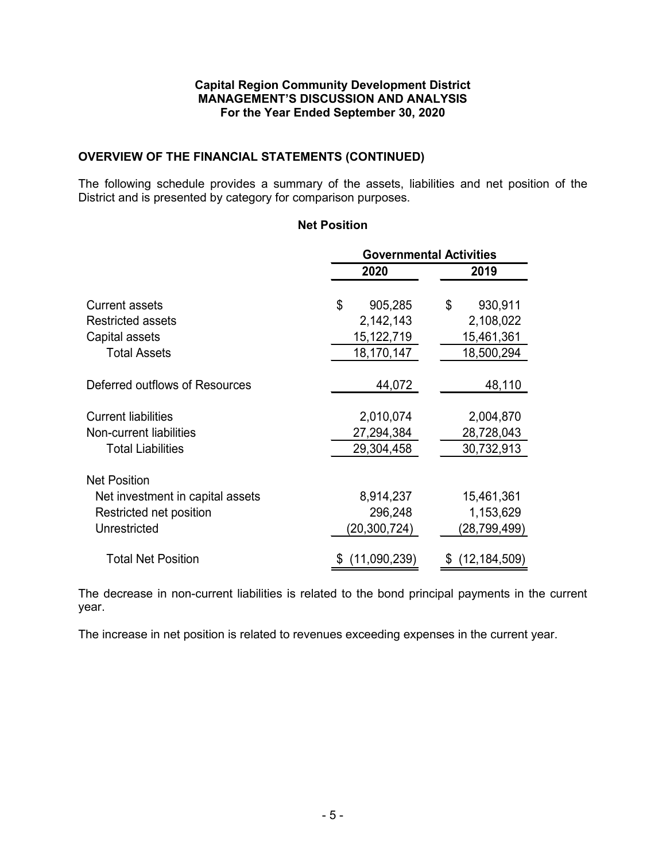# **OVERVIEW OF THE FINANCIAL STATEMENTS (CONTINUED)**

The following schedule provides a summary of the assets, liabilities and net position of the District and is presented by category for comparison purposes.

## **Net Position**

|                                  |                    | <b>Governmental Activities</b> |  |  |  |
|----------------------------------|--------------------|--------------------------------|--|--|--|
|                                  | 2020               | 2019                           |  |  |  |
| Current assets                   | \$<br>905,285      | \$<br>930,911                  |  |  |  |
| <b>Restricted assets</b>         | 2,142,143          | 2,108,022                      |  |  |  |
| Capital assets                   | 15, 122, 719       | 15,461,361                     |  |  |  |
| <b>Total Assets</b>              | 18,170,147         | 18,500,294                     |  |  |  |
| Deferred outflows of Resources   | 44,072             | 48,110                         |  |  |  |
| <b>Current liabilities</b>       | 2,010,074          | 2,004,870                      |  |  |  |
| Non-current liabilities          | 27,294,384         | 28,728,043                     |  |  |  |
| <b>Total Liabilities</b>         | 29,304,458         | 30,732,913                     |  |  |  |
| <b>Net Position</b>              |                    |                                |  |  |  |
| Net investment in capital assets | 8,914,237          | 15,461,361                     |  |  |  |
| Restricted net position          | 296,248            | 1,153,629                      |  |  |  |
| Unrestricted                     | (20, 300, 724)     | (28,799,499)                   |  |  |  |
| <b>Total Net Position</b>        | (11,090,239)<br>\$ | (12, 184, 509)<br>\$           |  |  |  |

The decrease in non-current liabilities is related to the bond principal payments in the current year.

The increase in net position is related to revenues exceeding expenses in the current year.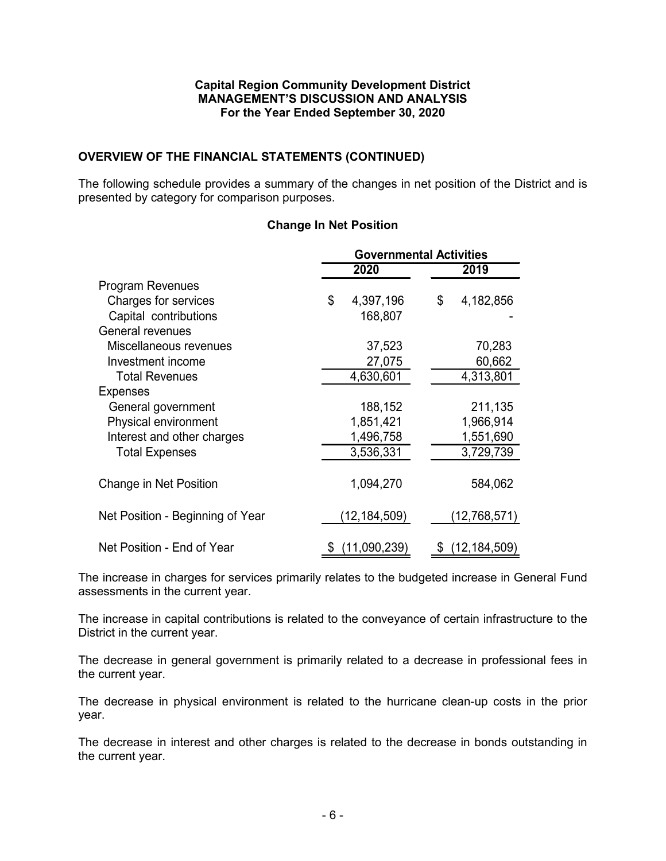# **OVERVIEW OF THE FINANCIAL STATEMENTS (CONTINUED)**

The following schedule provides a summary of the changes in net position of the District and is presented by category for comparison purposes.

# **Change In Net Position**

|                                  | <b>Governmental Activities</b> |                      |  |
|----------------------------------|--------------------------------|----------------------|--|
|                                  | 2020                           | 2019                 |  |
| <b>Program Revenues</b>          |                                |                      |  |
| Charges for services             | \$<br>4,397,196                | \$<br>4,182,856      |  |
| Capital contributions            | 168,807                        |                      |  |
| General revenues                 |                                |                      |  |
| Miscellaneous revenues           | 37,523                         | 70,283               |  |
| Investment income                | 27,075                         | 60,662               |  |
| <b>Total Revenues</b>            | 4,630,601                      | 4,313,801            |  |
| <b>Expenses</b>                  |                                |                      |  |
| General government               | 188,152                        | 211,135              |  |
| Physical environment             | 1,851,421                      | 1,966,914            |  |
| Interest and other charges       | 1,496,758                      | 1,551,690            |  |
| <b>Total Expenses</b>            | 3,536,331                      | 3,729,739            |  |
| Change in Net Position           | 1,094,270                      | 584,062              |  |
| Net Position - Beginning of Year | (12, 184, 509)                 | (12,768,571)         |  |
| Net Position - End of Year       | (11,090,239)<br>\$             | (12, 184, 509)<br>\$ |  |

The increase in charges for services primarily relates to the budgeted increase in General Fund assessments in the current year.

The increase in capital contributions is related to the conveyance of certain infrastructure to the District in the current year.

The decrease in general government is primarily related to a decrease in professional fees in the current year.

The decrease in physical environment is related to the hurricane clean-up costs in the prior year.

The decrease in interest and other charges is related to the decrease in bonds outstanding in the current year.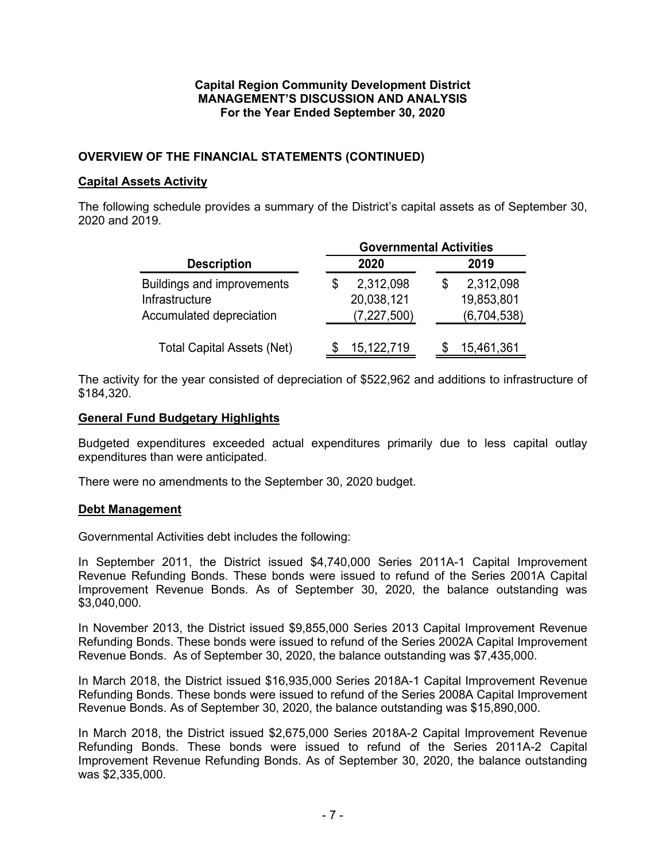# **OVERVIEW OF THE FINANCIAL STATEMENTS (CONTINUED)**

## **Capital Assets Activity**

The following schedule provides a summary of the District's capital assets as of September 30, 2020 and 2019.

|                                   | <b>Governmental Activities</b> |               |  |             |
|-----------------------------------|--------------------------------|---------------|--|-------------|
| <b>Description</b>                |                                | 2020          |  | 2019        |
| <b>Buildings and improvements</b> |                                | 2,312,098     |  | 2,312,098   |
| Infrastructure                    |                                | 20,038,121    |  | 19,853,801  |
| Accumulated depreciation          |                                | (7, 227, 500) |  | (6,704,538) |
| <b>Total Capital Assets (Net)</b> |                                | 15,122,719    |  | 15,461,361  |

The activity for the year consisted of depreciation of \$522,962 and additions to infrastructure of \$184,320.

## **General Fund Budgetary Highlights**

Budgeted expenditures exceeded actual expenditures primarily due to less capital outlay expenditures than were anticipated.

There were no amendments to the September 30, 2020 budget.

#### **Debt Management**

Governmental Activities debt includes the following:

In September 2011, the District issued \$4,740,000 Series 2011A-1 Capital Improvement Revenue Refunding Bonds. These bonds were issued to refund of the Series 2001A Capital Improvement Revenue Bonds. As of September 30, 2020, the balance outstanding was \$3,040,000.

In November 2013, the District issued \$9,855,000 Series 2013 Capital Improvement Revenue Refunding Bonds. These bonds were issued to refund of the Series 2002A Capital Improvement Revenue Bonds. As of September 30, 2020, the balance outstanding was \$7,435,000.

In March 2018, the District issued \$16,935,000 Series 2018A-1 Capital Improvement Revenue Refunding Bonds. These bonds were issued to refund of the Series 2008A Capital Improvement Revenue Bonds. As of September 30, 2020, the balance outstanding was \$15,890,000.

In March 2018, the District issued \$2,675,000 Series 2018A-2 Capital Improvement Revenue Refunding Bonds. These bonds were issued to refund of the Series 2011A-2 Capital Improvement Revenue Refunding Bonds. As of September 30, 2020, the balance outstanding was \$2,335,000.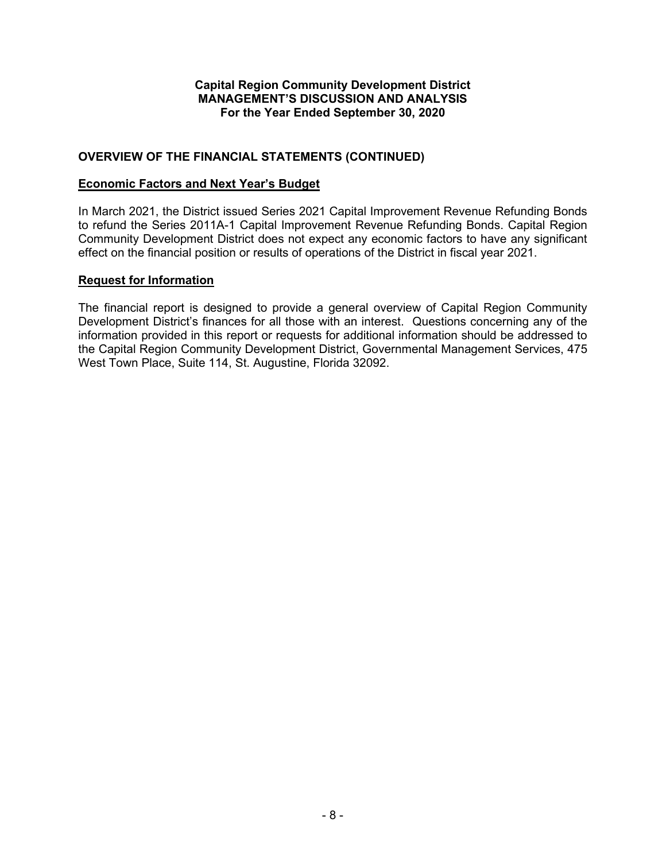# **OVERVIEW OF THE FINANCIAL STATEMENTS (CONTINUED)**

## **Economic Factors and Next Year's Budget**

In March 2021, the District issued Series 2021 Capital Improvement Revenue Refunding Bonds to refund the Series 2011A-1 Capital Improvement Revenue Refunding Bonds. Capital Region Community Development District does not expect any economic factors to have any significant effect on the financial position or results of operations of the District in fiscal year 2021.

## **Request for Information**

The financial report is designed to provide a general overview of Capital Region Community Development District's finances for all those with an interest. Questions concerning any of the information provided in this report or requests for additional information should be addressed to the Capital Region Community Development District, Governmental Management Services, 475 West Town Place, Suite 114, St. Augustine, Florida 32092.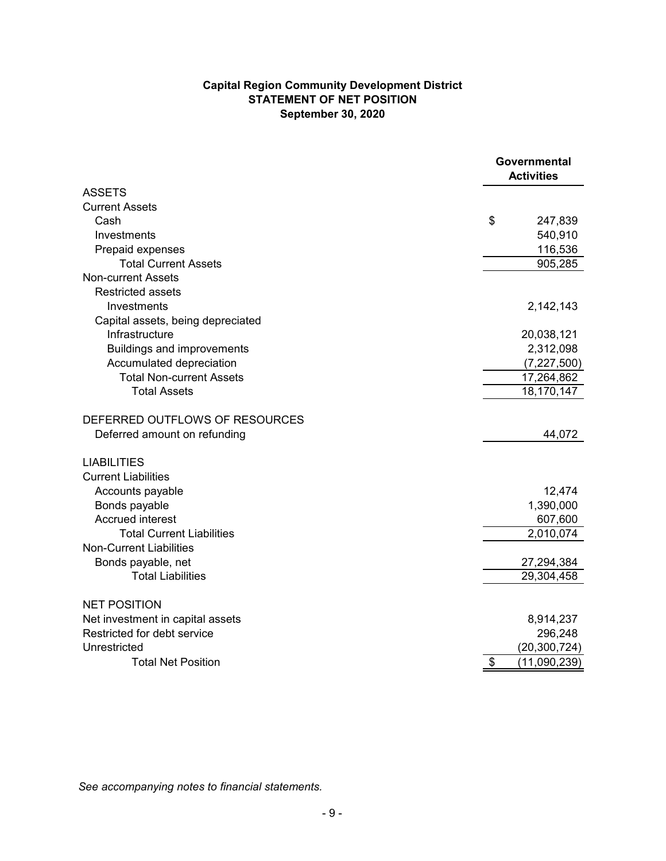# **Capital Region Community Development District STATEMENT OF NET POSITION September 30, 2020**

|                                   | Governmental<br><b>Activities</b> |
|-----------------------------------|-----------------------------------|
| <b>ASSETS</b>                     |                                   |
| <b>Current Assets</b>             |                                   |
| Cash                              | \$<br>247,839                     |
| Investments                       | 540,910                           |
| Prepaid expenses                  | 116,536                           |
| <b>Total Current Assets</b>       | 905,285                           |
| <b>Non-current Assets</b>         |                                   |
| <b>Restricted assets</b>          |                                   |
| Investments                       | 2,142,143                         |
| Capital assets, being depreciated |                                   |
| Infrastructure                    | 20,038,121                        |
| <b>Buildings and improvements</b> | 2,312,098                         |
| Accumulated depreciation          | (7, 227, 500)                     |
| <b>Total Non-current Assets</b>   | 17,264,862                        |
| <b>Total Assets</b>               | 18,170,147                        |
| DEFERRED OUTFLOWS OF RESOURCES    |                                   |
| Deferred amount on refunding      | 44,072                            |
|                                   |                                   |
| <b>LIABILITIES</b>                |                                   |
| <b>Current Liabilities</b>        |                                   |
| Accounts payable                  | 12,474                            |
| Bonds payable                     | 1,390,000                         |
| <b>Accrued interest</b>           | 607,600                           |
| <b>Total Current Liabilities</b>  | 2,010,074                         |
| <b>Non-Current Liabilities</b>    |                                   |
| Bonds payable, net                | 27,294,384                        |
| <b>Total Liabilities</b>          | 29,304,458                        |
| <b>NET POSITION</b>               |                                   |
| Net investment in capital assets  | 8,914,237                         |
| Restricted for debt service       | 296,248                           |
| Unrestricted                      | (20, 300, 724)                    |
| <b>Total Net Position</b>         | \$<br>(11,090,239)                |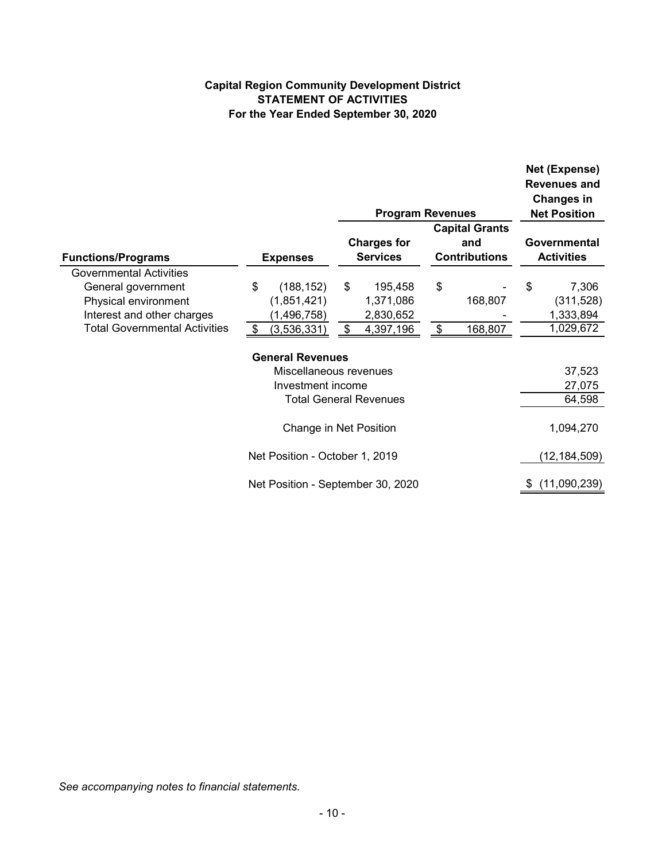# **Capital Region Community Development District STATEMENT OF ACTIVITIES For the Year Ended September 30, 2020**

| <b>Functions/Programs</b>                                   | <b>Expenses</b>                   | <b>Charges for</b><br><b>Services</b> | <b>Program Revenues</b><br><b>Capital Grants</b><br>and<br><b>Contributions</b> | Net (Expense)<br><b>Revenues and</b><br><b>Changes in</b><br><b>Net Position</b><br>Governmental<br><b>Activities</b> |
|-------------------------------------------------------------|-----------------------------------|---------------------------------------|---------------------------------------------------------------------------------|-----------------------------------------------------------------------------------------------------------------------|
| <b>Governmental Activities</b>                              |                                   |                                       |                                                                                 |                                                                                                                       |
| General government                                          | \$<br>(188, 152)                  | \$<br>195,458                         | \$                                                                              | \$<br>7,306                                                                                                           |
| Physical environment                                        | (1,851,421)                       | 1,371,086                             | 168,807                                                                         | (311, 528)                                                                                                            |
| Interest and other charges                                  | (1, 496, 758)                     | 2,830,652                             |                                                                                 | 1,333,894                                                                                                             |
| <b>Total Governmental Activities</b>                        | (3,536,331)<br>- \$               | 4,397,196<br>\$                       | \$<br>168,807                                                                   | 1,029,672                                                                                                             |
| <b>General Revenues</b><br>Miscellaneous revenues<br>37,523 |                                   |                                       |                                                                                 |                                                                                                                       |
|                                                             | Investment income                 |                                       |                                                                                 | 27,075                                                                                                                |
| <b>Total General Revenues</b>                               |                                   |                                       |                                                                                 | 64,598                                                                                                                |
| Change in Net Position                                      |                                   |                                       |                                                                                 | 1,094,270                                                                                                             |
| Net Position - October 1, 2019                              |                                   |                                       | (12, 184, 509)                                                                  |                                                                                                                       |
|                                                             | Net Position - September 30, 2020 |                                       |                                                                                 | (11,090,239)                                                                                                          |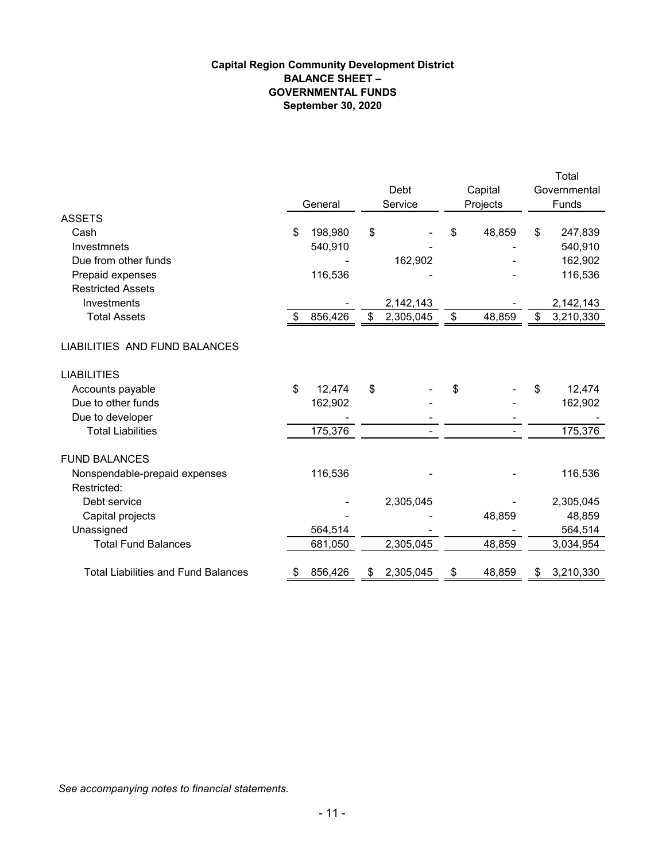## **Capital Region Community Development District BALANCE SHEET – GOVERNMENTAL FUNDS September 30, 2020**

|                                            | General       |    | Debt<br>Service | Capital<br>Projects | Total<br>Governmental<br>Funds |
|--------------------------------------------|---------------|----|-----------------|---------------------|--------------------------------|
| <b>ASSETS</b>                              |               |    |                 |                     |                                |
| Cash                                       | \$<br>198,980 | \$ |                 | \$<br>48,859        | \$<br>247,839                  |
| Investmnets                                | 540,910       |    |                 |                     | 540,910                        |
| Due from other funds                       |               |    | 162,902         |                     | 162,902                        |
| Prepaid expenses                           | 116,536       |    |                 |                     | 116,536                        |
| <b>Restricted Assets</b>                   |               |    |                 |                     |                                |
| Investments                                |               |    | 2,142,143       |                     | 2,142,143                      |
| <b>Total Assets</b>                        | \$<br>856,426 | \$ | 2,305,045       | \$<br>48,859        | \$<br>3,210,330                |
| LIABILITIES AND FUND BALANCES              |               |    |                 |                     |                                |
| <b>LIABILITIES</b>                         |               |    |                 |                     |                                |
| Accounts payable                           | \$<br>12,474  | \$ |                 | \$                  | \$<br>12,474                   |
| Due to other funds                         | 162,902       |    |                 |                     | 162,902                        |
| Due to developer                           |               |    |                 |                     |                                |
| <b>Total Liabilities</b>                   | 175,376       |    |                 |                     | 175,376                        |
| <b>FUND BALANCES</b>                       |               |    |                 |                     |                                |
| Nonspendable-prepaid expenses              | 116,536       |    |                 |                     | 116,536                        |
| Restricted:                                |               |    |                 |                     |                                |
| Debt service                               |               |    | 2,305,045       |                     | 2,305,045                      |
| Capital projects                           |               |    |                 | 48,859              | 48,859                         |
| Unassigned                                 | 564,514       |    |                 |                     | 564,514                        |
| <b>Total Fund Balances</b>                 | 681,050       |    | 2,305,045       | 48,859              | 3,034,954                      |
| <b>Total Liabilities and Fund Balances</b> | \$<br>856,426 | S  | 2,305,045       | \$<br>48,859        | \$<br>3,210,330                |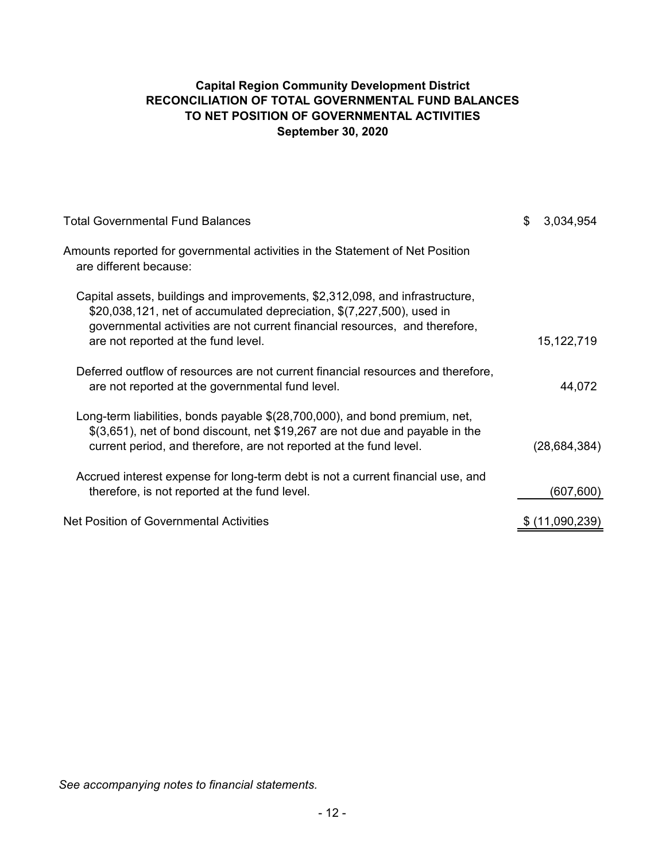# **Capital Region Community Development District RECONCILIATION OF TOTAL GOVERNMENTAL FUND BALANCES TO NET POSITION OF GOVERNMENTAL ACTIVITIES September 30, 2020**

| <b>Total Governmental Fund Balances</b>                                                                                                                                                                                                                                     | \$<br>3,034,954 |
|-----------------------------------------------------------------------------------------------------------------------------------------------------------------------------------------------------------------------------------------------------------------------------|-----------------|
| Amounts reported for governmental activities in the Statement of Net Position<br>are different because:                                                                                                                                                                     |                 |
| Capital assets, buildings and improvements, \$2,312,098, and infrastructure,<br>\$20,038,121, net of accumulated depreciation, \$(7,227,500), used in<br>governmental activities are not current financial resources, and therefore,<br>are not reported at the fund level. | 15, 122, 719    |
|                                                                                                                                                                                                                                                                             |                 |
| Deferred outflow of resources are not current financial resources and therefore,<br>are not reported at the governmental fund level.                                                                                                                                        | 44,072          |
| Long-term liabilities, bonds payable \$(28,700,000), and bond premium, net,<br>$$(3,651)$ , net of bond discount, net \$19,267 are not due and payable in the<br>current period, and therefore, are not reported at the fund level.                                         | (28, 684, 384)  |
| Accrued interest expense for long-term debt is not a current financial use, and<br>therefore, is not reported at the fund level.                                                                                                                                            | (607, 600)      |
| <b>Net Position of Governmental Activities</b>                                                                                                                                                                                                                              | \$ (11,090,239) |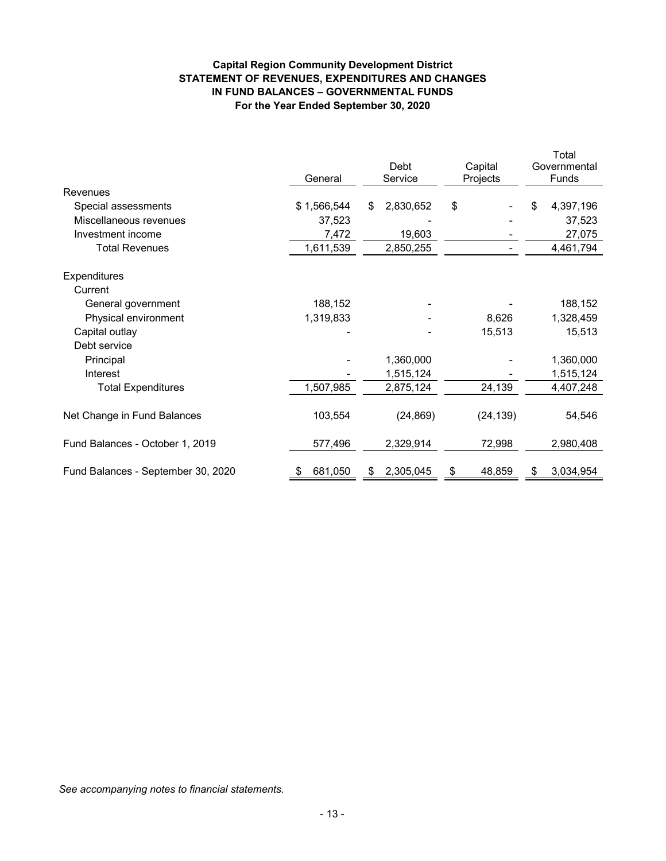#### **Capital Region Community Development District STATEMENT OF REVENUES, EXPENDITURES AND CHANGES IN FUND BALANCES – GOVERNMENTAL FUNDS For the Year Ended September 30, 2020**

|                                    | General     | Debt<br>Service | Capital<br>Projects | Total<br>Governmental<br>Funds |
|------------------------------------|-------------|-----------------|---------------------|--------------------------------|
| <b>Revenues</b>                    |             |                 |                     |                                |
| Special assessments                | \$1,566,544 | 2,830,652<br>\$ | \$                  | 4,397,196<br>\$                |
| Miscellaneous revenues             | 37,523      |                 |                     | 37,523                         |
| Investment income                  | 7,472       | 19,603          |                     | 27,075                         |
| <b>Total Revenues</b>              | 1,611,539   | 2,850,255       |                     | 4,461,794                      |
| <b>Expenditures</b>                |             |                 |                     |                                |
| Current                            |             |                 |                     |                                |
| General government                 | 188,152     |                 |                     | 188,152                        |
| Physical environment               | 1,319,833   |                 | 8,626               | 1,328,459                      |
| Capital outlay                     |             |                 | 15,513              | 15,513                         |
| Debt service                       |             |                 |                     |                                |
| Principal                          |             | 1,360,000       |                     | 1,360,000                      |
| Interest                           |             | 1,515,124       |                     | 1,515,124                      |
| <b>Total Expenditures</b>          | 1,507,985   | 2,875,124       | 24,139              | 4,407,248                      |
| Net Change in Fund Balances        | 103,554     | (24, 869)       | (24, 139)           | 54,546                         |
| Fund Balances - October 1, 2019    | 577,496     | 2,329,914       | 72,998              | 2,980,408                      |
| Fund Balances - September 30, 2020 | 681,050     | 2,305,045<br>S  | 48,859<br>\$        | 3,034,954<br>S                 |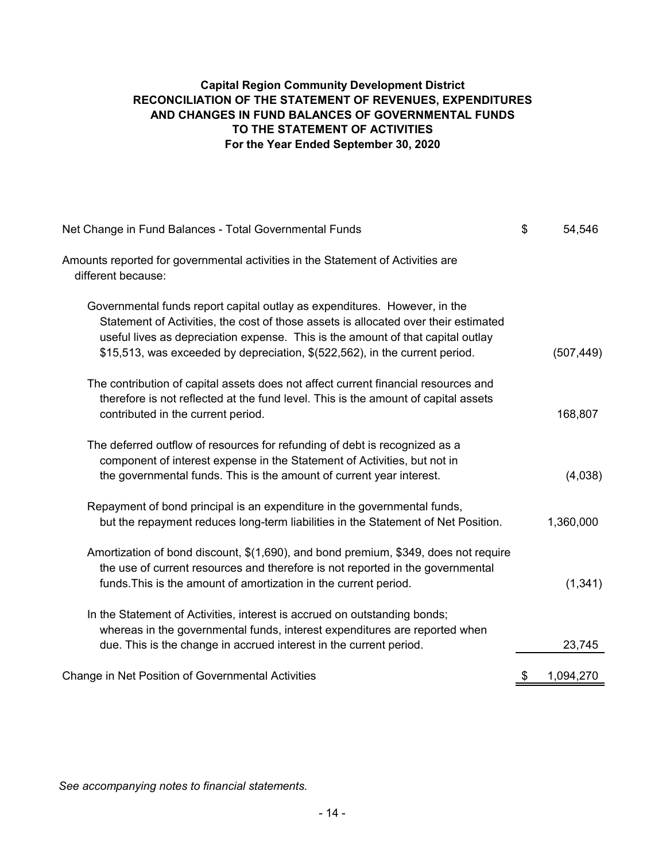# **Capital Region Community Development District RECONCILIATION OF THE STATEMENT OF REVENUES, EXPENDITURES AND CHANGES IN FUND BALANCES OF GOVERNMENTAL FUNDS TO THE STATEMENT OF ACTIVITIES For the Year Ended September 30, 2020**

| Net Change in Fund Balances - Total Governmental Funds                                                                                                                                                                                                                                                                             | \$<br>54,546    |
|------------------------------------------------------------------------------------------------------------------------------------------------------------------------------------------------------------------------------------------------------------------------------------------------------------------------------------|-----------------|
| Amounts reported for governmental activities in the Statement of Activities are<br>different because:                                                                                                                                                                                                                              |                 |
| Governmental funds report capital outlay as expenditures. However, in the<br>Statement of Activities, the cost of those assets is allocated over their estimated<br>useful lives as depreciation expense. This is the amount of that capital outlay<br>\$15,513, was exceeded by depreciation, \$(522,562), in the current period. | (507, 449)      |
| The contribution of capital assets does not affect current financial resources and<br>therefore is not reflected at the fund level. This is the amount of capital assets<br>contributed in the current period.                                                                                                                     | 168,807         |
| The deferred outflow of resources for refunding of debt is recognized as a<br>component of interest expense in the Statement of Activities, but not in<br>the governmental funds. This is the amount of current year interest.                                                                                                     | (4,038)         |
| Repayment of bond principal is an expenditure in the governmental funds,<br>but the repayment reduces long-term liabilities in the Statement of Net Position.                                                                                                                                                                      | 1,360,000       |
| Amortization of bond discount, \$(1,690), and bond premium, \$349, does not require<br>the use of current resources and therefore is not reported in the governmental<br>funds. This is the amount of amortization in the current period.                                                                                          | (1, 341)        |
| In the Statement of Activities, interest is accrued on outstanding bonds;<br>whereas in the governmental funds, interest expenditures are reported when<br>due. This is the change in accrued interest in the current period.                                                                                                      | 23,745          |
| Change in Net Position of Governmental Activities                                                                                                                                                                                                                                                                                  | \$<br>1,094,270 |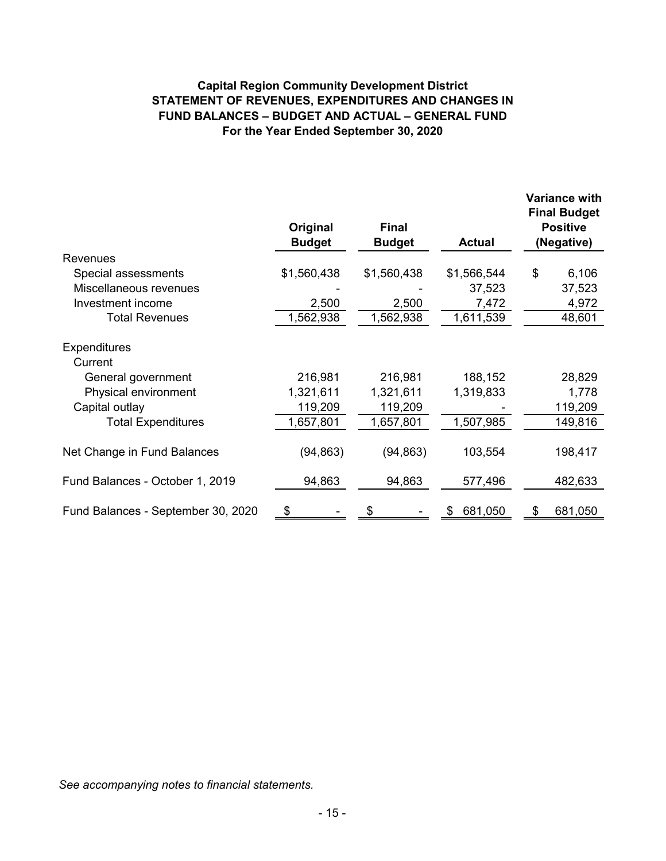# **Capital Region Community Development District STATEMENT OF REVENUES, EXPENDITURES AND CHANGES IN FUND BALANCES – BUDGET AND ACTUAL – GENERAL FUND For the Year Ended September 30, 2020**

|                                    |               |               |               | <b>Variance with</b><br><b>Final Budget</b> |
|------------------------------------|---------------|---------------|---------------|---------------------------------------------|
|                                    | Original      | <b>Final</b>  |               | <b>Positive</b>                             |
|                                    | <b>Budget</b> | <b>Budget</b> | <b>Actual</b> | (Negative)                                  |
| Revenues                           |               |               |               |                                             |
| Special assessments                | \$1,560,438   | \$1,560,438   | \$1,566,544   | \$<br>6,106                                 |
| Miscellaneous revenues             |               |               | 37,523        | 37,523                                      |
| Investment income                  | 2,500         | 2,500         | 7,472         | 4,972                                       |
| <b>Total Revenues</b>              | 1,562,938     | 1,562,938     | 1,611,539     | 48,601                                      |
| <b>Expenditures</b>                |               |               |               |                                             |
| Current                            |               |               |               |                                             |
| General government                 | 216,981       | 216,981       | 188,152       | 28,829                                      |
| Physical environment               | 1,321,611     | 1,321,611     | 1,319,833     | 1,778                                       |
| Capital outlay                     | 119,209       | 119,209       |               | 119,209                                     |
| <b>Total Expenditures</b>          | 1,657,801     | 1,657,801     | 1,507,985     | 149,816                                     |
| Net Change in Fund Balances        | (94, 863)     | (94, 863)     | 103,554       | 198,417                                     |
| Fund Balances - October 1, 2019    | 94,863        | 94,863        | 577,496       | 482,633                                     |
| Fund Balances - September 30, 2020 | \$            |               | 681,050       | 681,050                                     |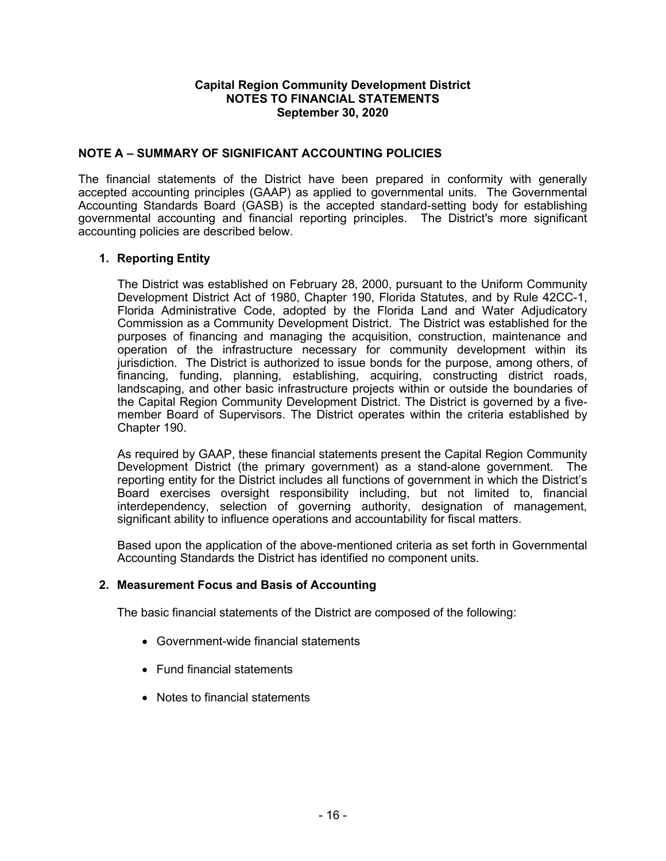# **NOTE A – SUMMARY OF SIGNIFICANT ACCOUNTING POLICIES**

The financial statements of the District have been prepared in conformity with generally accepted accounting principles (GAAP) as applied to governmental units. The Governmental Accounting Standards Board (GASB) is the accepted standard-setting body for establishing governmental accounting and financial reporting principles. The District's more significant accounting policies are described below.

# **1. Reporting Entity**

The District was established on February 28, 2000, pursuant to the Uniform Community Development District Act of 1980, Chapter 190, Florida Statutes, and by Rule 42CC-1, Florida Administrative Code, adopted by the Florida Land and Water Adjudicatory Commission as a Community Development District. The District was established for the purposes of financing and managing the acquisition, construction, maintenance and operation of the infrastructure necessary for community development within its jurisdiction. The District is authorized to issue bonds for the purpose, among others, of financing, funding, planning, establishing, acquiring, constructing district roads, landscaping, and other basic infrastructure projects within or outside the boundaries of the Capital Region Community Development District. The District is governed by a fivemember Board of Supervisors. The District operates within the criteria established by Chapter 190.

As required by GAAP, these financial statements present the Capital Region Community Development District (the primary government) as a stand-alone government. The reporting entity for the District includes all functions of government in which the District's Board exercises oversight responsibility including, but not limited to, financial interdependency, selection of governing authority, designation of management, significant ability to influence operations and accountability for fiscal matters.

Based upon the application of the above-mentioned criteria as set forth in Governmental Accounting Standards the District has identified no component units.

# **2. Measurement Focus and Basis of Accounting**

The basic financial statements of the District are composed of the following:

- Government-wide financial statements
- Fund financial statements
- Notes to financial statements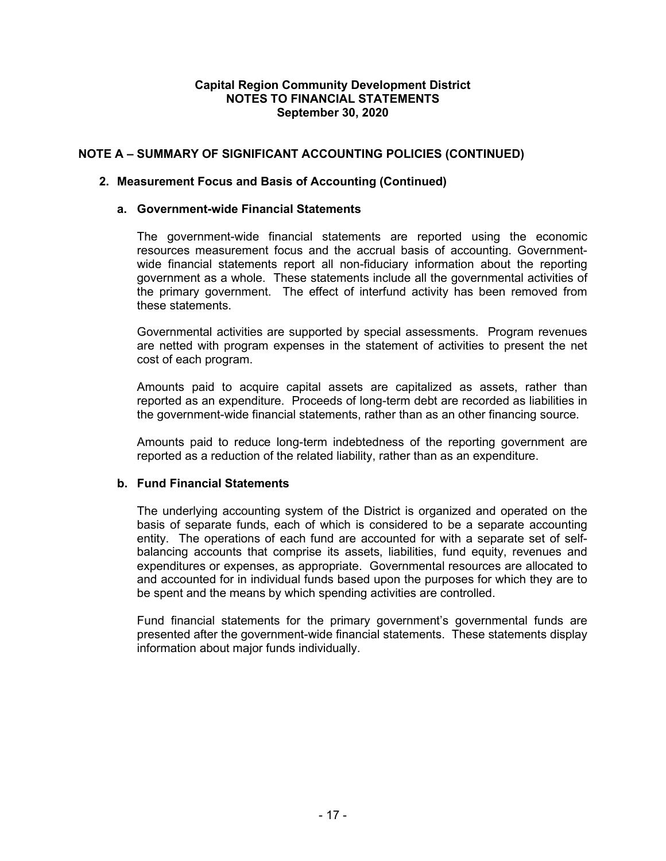# **NOTE A – SUMMARY OF SIGNIFICANT ACCOUNTING POLICIES (CONTINUED)**

## **2. Measurement Focus and Basis of Accounting (Continued)**

#### **a. Government-wide Financial Statements**

The government-wide financial statements are reported using the economic resources measurement focus and the accrual basis of accounting. Governmentwide financial statements report all non-fiduciary information about the reporting government as a whole. These statements include all the governmental activities of the primary government. The effect of interfund activity has been removed from these statements.

Governmental activities are supported by special assessments. Program revenues are netted with program expenses in the statement of activities to present the net cost of each program.

Amounts paid to acquire capital assets are capitalized as assets, rather than reported as an expenditure. Proceeds of long-term debt are recorded as liabilities in the government-wide financial statements, rather than as an other financing source.

Amounts paid to reduce long-term indebtedness of the reporting government are reported as a reduction of the related liability, rather than as an expenditure.

# **b. Fund Financial Statements**

The underlying accounting system of the District is organized and operated on the basis of separate funds, each of which is considered to be a separate accounting entity. The operations of each fund are accounted for with a separate set of selfbalancing accounts that comprise its assets, liabilities, fund equity, revenues and expenditures or expenses, as appropriate. Governmental resources are allocated to and accounted for in individual funds based upon the purposes for which they are to be spent and the means by which spending activities are controlled.

Fund financial statements for the primary government's governmental funds are presented after the government-wide financial statements. These statements display information about major funds individually.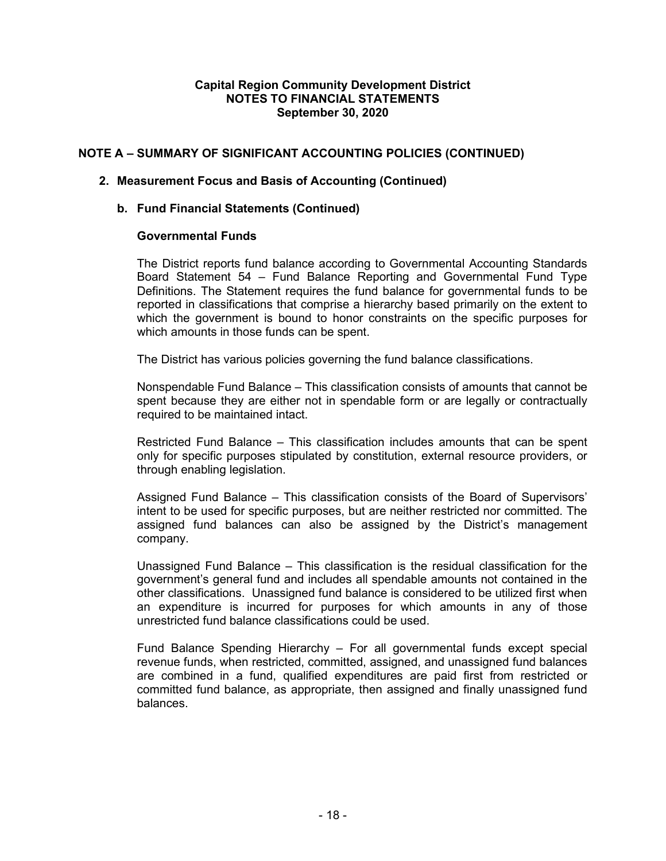# **NOTE A – SUMMARY OF SIGNIFICANT ACCOUNTING POLICIES (CONTINUED)**

# **2. Measurement Focus and Basis of Accounting (Continued)**

# **b. Fund Financial Statements (Continued)**

# **Governmental Funds**

The District reports fund balance according to Governmental Accounting Standards Board Statement 54 – Fund Balance Reporting and Governmental Fund Type Definitions. The Statement requires the fund balance for governmental funds to be reported in classifications that comprise a hierarchy based primarily on the extent to which the government is bound to honor constraints on the specific purposes for which amounts in those funds can be spent.

The District has various policies governing the fund balance classifications.

Nonspendable Fund Balance – This classification consists of amounts that cannot be spent because they are either not in spendable form or are legally or contractually required to be maintained intact.

Restricted Fund Balance *–* This classification includes amounts that can be spent only for specific purposes stipulated by constitution, external resource providers, or through enabling legislation.

Assigned Fund Balance – This classification consists of the Board of Supervisors' intent to be used for specific purposes, but are neither restricted nor committed. The assigned fund balances can also be assigned by the District's management company.

Unassigned Fund Balance – This classification is the residual classification for the government's general fund and includes all spendable amounts not contained in the other classifications. Unassigned fund balance is considered to be utilized first when an expenditure is incurred for purposes for which amounts in any of those unrestricted fund balance classifications could be used.

Fund Balance Spending Hierarchy – For all governmental funds except special revenue funds, when restricted, committed, assigned, and unassigned fund balances are combined in a fund, qualified expenditures are paid first from restricted or committed fund balance, as appropriate, then assigned and finally unassigned fund balances.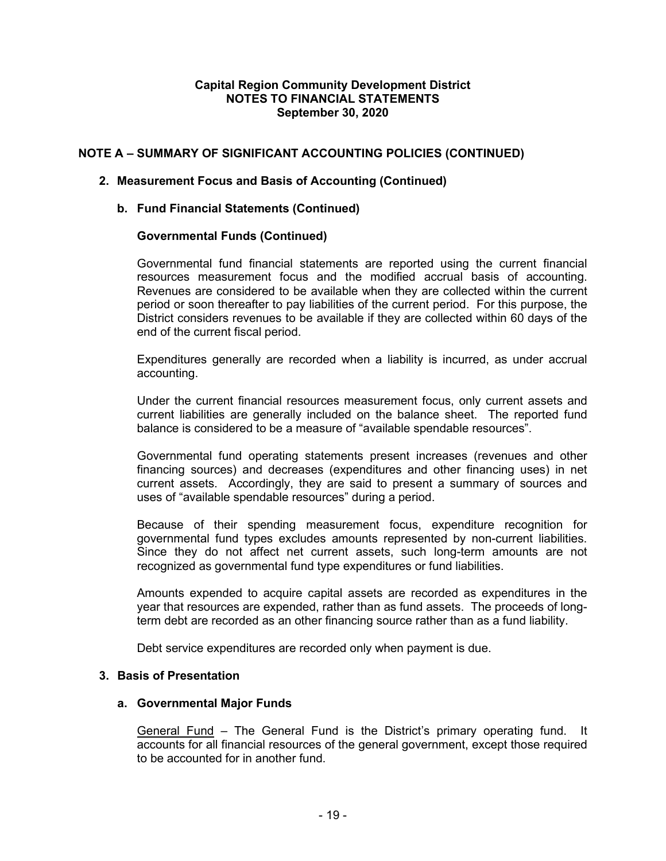# **NOTE A – SUMMARY OF SIGNIFICANT ACCOUNTING POLICIES (CONTINUED)**

## **2. Measurement Focus and Basis of Accounting (Continued)**

#### **b. Fund Financial Statements (Continued)**

## **Governmental Funds (Continued)**

Governmental fund financial statements are reported using the current financial resources measurement focus and the modified accrual basis of accounting. Revenues are considered to be available when they are collected within the current period or soon thereafter to pay liabilities of the current period. For this purpose, the District considers revenues to be available if they are collected within 60 days of the end of the current fiscal period.

Expenditures generally are recorded when a liability is incurred, as under accrual accounting.

Under the current financial resources measurement focus, only current assets and current liabilities are generally included on the balance sheet. The reported fund balance is considered to be a measure of "available spendable resources".

Governmental fund operating statements present increases (revenues and other financing sources) and decreases (expenditures and other financing uses) in net current assets. Accordingly, they are said to present a summary of sources and uses of "available spendable resources" during a period.

Because of their spending measurement focus, expenditure recognition for governmental fund types excludes amounts represented by non-current liabilities. Since they do not affect net current assets, such long-term amounts are not recognized as governmental fund type expenditures or fund liabilities.

Amounts expended to acquire capital assets are recorded as expenditures in the year that resources are expended, rather than as fund assets. The proceeds of longterm debt are recorded as an other financing source rather than as a fund liability.

Debt service expenditures are recorded only when payment is due.

# **3. Basis of Presentation**

#### **a. Governmental Major Funds**

General Fund – The General Fund is the District's primary operating fund. It accounts for all financial resources of the general government, except those required to be accounted for in another fund.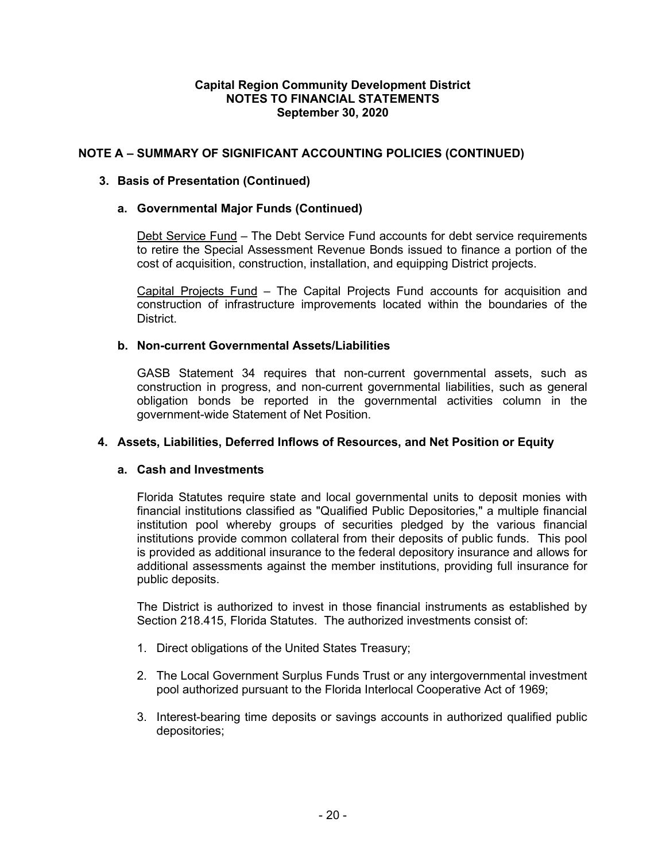# **NOTE A – SUMMARY OF SIGNIFICANT ACCOUNTING POLICIES (CONTINUED)**

## **3. Basis of Presentation (Continued)**

## **a. Governmental Major Funds (Continued)**

Debt Service Fund – The Debt Service Fund accounts for debt service requirements to retire the Special Assessment Revenue Bonds issued to finance a portion of the cost of acquisition, construction, installation, and equipping District projects.

Capital Projects Fund – The Capital Projects Fund accounts for acquisition and construction of infrastructure improvements located within the boundaries of the District.

## **b. Non-current Governmental Assets/Liabilities**

GASB Statement 34 requires that non-current governmental assets, such as construction in progress, and non-current governmental liabilities, such as general obligation bonds be reported in the governmental activities column in the government-wide Statement of Net Position.

# **4. Assets, Liabilities, Deferred Inflows of Resources, and Net Position or Equity**

#### **a. Cash and Investments**

Florida Statutes require state and local governmental units to deposit monies with financial institutions classified as "Qualified Public Depositories," a multiple financial institution pool whereby groups of securities pledged by the various financial institutions provide common collateral from their deposits of public funds. This pool is provided as additional insurance to the federal depository insurance and allows for additional assessments against the member institutions, providing full insurance for public deposits.

The District is authorized to invest in those financial instruments as established by Section 218.415, Florida Statutes. The authorized investments consist of:

- 1. Direct obligations of the United States Treasury;
- 2. The Local Government Surplus Funds Trust or any intergovernmental investment pool authorized pursuant to the Florida Interlocal Cooperative Act of 1969;
- 3. Interest-bearing time deposits or savings accounts in authorized qualified public depositories;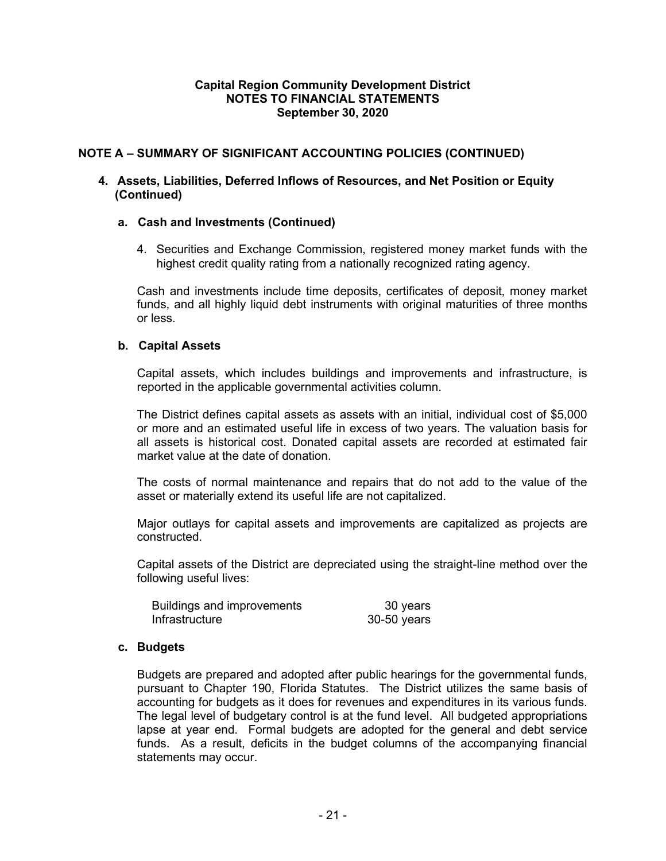# **NOTE A – SUMMARY OF SIGNIFICANT ACCOUNTING POLICIES (CONTINUED)**

## **4. Assets, Liabilities, Deferred Inflows of Resources, and Net Position or Equity (Continued)**

# **a. Cash and Investments (Continued)**

4. Securities and Exchange Commission, registered money market funds with the highest credit quality rating from a nationally recognized rating agency.

Cash and investments include time deposits, certificates of deposit, money market funds, and all highly liquid debt instruments with original maturities of three months or less.

# **b. Capital Assets**

Capital assets, which includes buildings and improvements and infrastructure, is reported in the applicable governmental activities column.

The District defines capital assets as assets with an initial, individual cost of \$5,000 or more and an estimated useful life in excess of two years. The valuation basis for all assets is historical cost. Donated capital assets are recorded at estimated fair market value at the date of donation.

The costs of normal maintenance and repairs that do not add to the value of the asset or materially extend its useful life are not capitalized.

Major outlays for capital assets and improvements are capitalized as projects are constructed.

Capital assets of the District are depreciated using the straight-line method over the following useful lives:

| Buildings and improvements | 30 years    |
|----------------------------|-------------|
| Infrastructure             | 30-50 years |

#### **c. Budgets**

Budgets are prepared and adopted after public hearings for the governmental funds, pursuant to Chapter 190, Florida Statutes. The District utilizes the same basis of accounting for budgets as it does for revenues and expenditures in its various funds. The legal level of budgetary control is at the fund level. All budgeted appropriations lapse at year end. Formal budgets are adopted for the general and debt service funds. As a result, deficits in the budget columns of the accompanying financial statements may occur.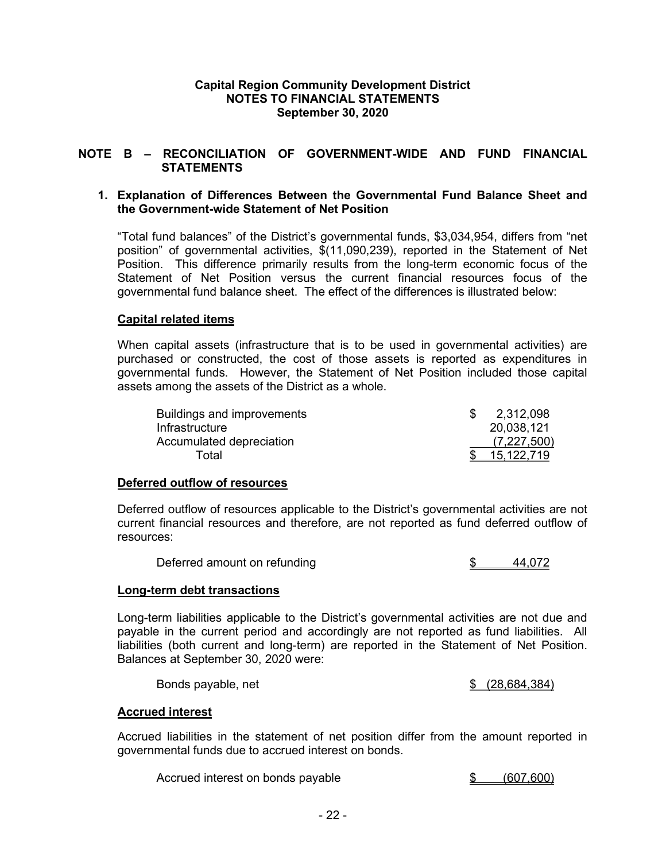## **NOTE B – RECONCILIATION OF GOVERNMENT-WIDE AND FUND FINANCIAL STATEMENTS**

#### **1. Explanation of Differences Between the Governmental Fund Balance Sheet and the Government-wide Statement of Net Position**

"Total fund balances" of the District's governmental funds, \$3,034,954, differs from "net position" of governmental activities, \$(11,090,239), reported in the Statement of Net Position. This difference primarily results from the long-term economic focus of the Statement of Net Position versus the current financial resources focus of the governmental fund balance sheet. The effect of the differences is illustrated below:

#### **Capital related items**

When capital assets (infrastructure that is to be used in governmental activities) are purchased or constructed, the cost of those assets is reported as expenditures in governmental funds. However, the Statement of Net Position included those capital assets among the assets of the District as a whole.

| Buildings and improvements | 2,312,098     |
|----------------------------|---------------|
| Infrastructure             | 20,038,121    |
| Accumulated depreciation   | (7, 227, 500) |
| Total                      | 15,122,719    |

#### **Deferred outflow of resources**

Deferred outflow of resources applicable to the District's governmental activities are not current financial resources and therefore, are not reported as fund deferred outflow of resources:

Deferred amount on refunding the state of the state of the state of the state of the state of the state of the state of the state of the state of the state of the state of the state of the state of the state of the state o

#### **Long-term debt transactions**

Long-term liabilities applicable to the District's governmental activities are not due and payable in the current period and accordingly are not reported as fund liabilities. All liabilities (both current and long-term) are reported in the Statement of Net Position. Balances at September 30, 2020 were:

Bonds payable, net  $$ (28,684,384)$ 

#### **Accrued interest**

Accrued liabilities in the statement of net position differ from the amount reported in governmental funds due to accrued interest on bonds.

Accrued interest on bonds payable  $\qquad \qquad \frac{\$}{\$}$  (607,600)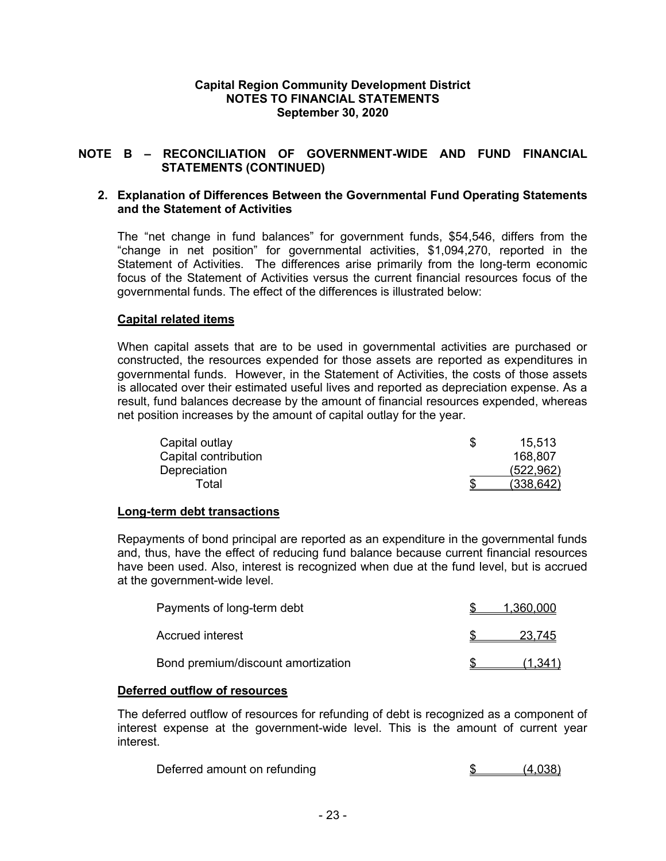# **NOTE B – RECONCILIATION OF GOVERNMENT-WIDE AND FUND FINANCIAL STATEMENTS (CONTINUED)**

### **2. Explanation of Differences Between the Governmental Fund Operating Statements and the Statement of Activities**

The "net change in fund balances" for government funds, \$54,546, differs from the "change in net position" for governmental activities, \$1,094,270, reported in the Statement of Activities. The differences arise primarily from the long-term economic focus of the Statement of Activities versus the current financial resources focus of the governmental funds. The effect of the differences is illustrated below:

## **Capital related items**

When capital assets that are to be used in governmental activities are purchased or constructed, the resources expended for those assets are reported as expenditures in governmental funds. However, in the Statement of Activities, the costs of those assets is allocated over their estimated useful lives and reported as depreciation expense. As a result, fund balances decrease by the amount of financial resources expended, whereas net position increases by the amount of capital outlay for the year.

| Capital outlay       | 15,513     |
|----------------------|------------|
| Capital contribution | 168,807    |
| Depreciation         | (522, 962) |
| Total                | (338.642)  |

#### **Long-term debt transactions**

Repayments of bond principal are reported as an expenditure in the governmental funds and, thus, have the effect of reducing fund balance because current financial resources have been used. Also, interest is recognized when due at the fund level, but is accrued at the government-wide level.

| Payments of long-term debt         | 1.360.000 |
|------------------------------------|-----------|
| Accrued interest                   | 23.745    |
| Bond premium/discount amortization | 1 341     |

# **Deferred outflow of resources**

The deferred outflow of resources for refunding of debt is recognized as a component of interest expense at the government-wide level. This is the amount of current year interest.

| Deferred amount on refunding |  | (4,038) |
|------------------------------|--|---------|
|------------------------------|--|---------|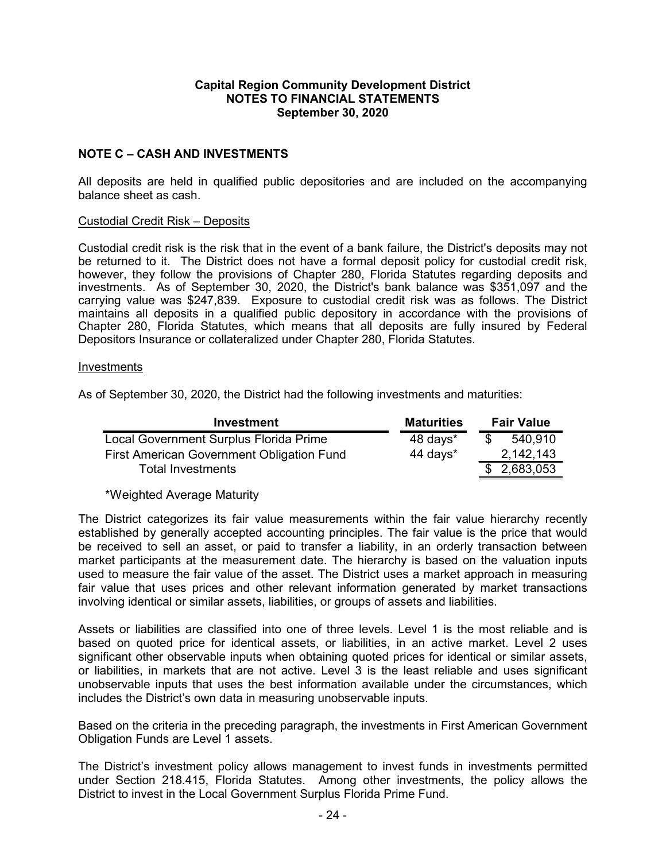## **NOTE C – CASH AND INVESTMENTS**

All deposits are held in qualified public depositories and are included on the accompanying balance sheet as cash.

#### Custodial Credit Risk – Deposits

Custodial credit risk is the risk that in the event of a bank failure, the District's deposits may not be returned to it. The District does not have a formal deposit policy for custodial credit risk, however, they follow the provisions of Chapter 280, Florida Statutes regarding deposits and investments. As of September 30, 2020, the District's bank balance was \$351,097 and the carrying value was \$247,839. Exposure to custodial credit risk was as follows. The District maintains all deposits in a qualified public depository in accordance with the provisions of Chapter 280, Florida Statutes, which means that all deposits are fully insured by Federal Depositors Insurance or collateralized under Chapter 280, Florida Statutes.

#### Investments

As of September 30, 2020, the District had the following investments and maturities:

| Investment                                | <b>Maturities</b> | <b>Fair Value</b> |  |  |
|-------------------------------------------|-------------------|-------------------|--|--|
| Local Government Surplus Florida Prime    | 48 days*          | 540,910           |  |  |
| First American Government Obligation Fund | 44 days*          | 2,142,143         |  |  |
| Total Investments                         |                   | \$2,683,053       |  |  |

#### \*Weighted Average Maturity

The District categorizes its fair value measurements within the fair value hierarchy recently established by generally accepted accounting principles. The fair value is the price that would be received to sell an asset, or paid to transfer a liability, in an orderly transaction between market participants at the measurement date. The hierarchy is based on the valuation inputs used to measure the fair value of the asset. The District uses a market approach in measuring fair value that uses prices and other relevant information generated by market transactions involving identical or similar assets, liabilities, or groups of assets and liabilities.

Assets or liabilities are classified into one of three levels. Level 1 is the most reliable and is based on quoted price for identical assets, or liabilities, in an active market. Level 2 uses significant other observable inputs when obtaining quoted prices for identical or similar assets, or liabilities, in markets that are not active. Level 3 is the least reliable and uses significant unobservable inputs that uses the best information available under the circumstances, which includes the District's own data in measuring unobservable inputs.

Based on the criteria in the preceding paragraph, the investments in First American Government Obligation Funds are Level 1 assets.

The District's investment policy allows management to invest funds in investments permitted under Section 218.415, Florida Statutes. Among other investments, the policy allows the District to invest in the Local Government Surplus Florida Prime Fund.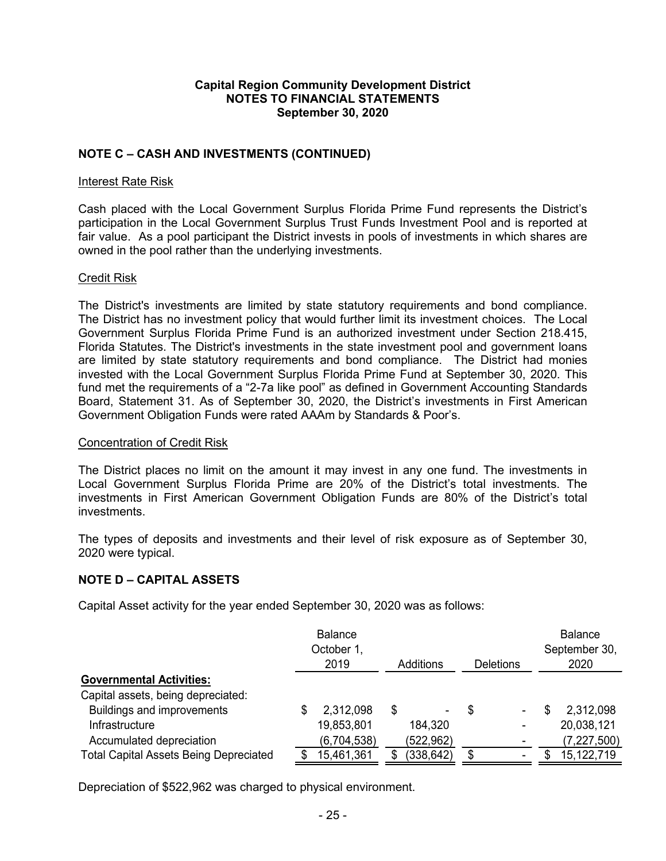# **NOTE C – CASH AND INVESTMENTS (CONTINUED)**

#### Interest Rate Risk

Cash placed with the Local Government Surplus Florida Prime Fund represents the District's participation in the Local Government Surplus Trust Funds Investment Pool and is reported at fair value. As a pool participant the District invests in pools of investments in which shares are owned in the pool rather than the underlying investments.

## Credit Risk

The District's investments are limited by state statutory requirements and bond compliance. The District has no investment policy that would further limit its investment choices. The Local Government Surplus Florida Prime Fund is an authorized investment under Section 218.415, Florida Statutes. The District's investments in the state investment pool and government loans are limited by state statutory requirements and bond compliance. The District had monies invested with the Local Government Surplus Florida Prime Fund at September 30, 2020. This fund met the requirements of a "2-7a like pool" as defined in Government Accounting Standards Board, Statement 31. As of September 30, 2020, the District's investments in First American Government Obligation Funds were rated AAAm by Standards & Poor's.

#### Concentration of Credit Risk

The District places no limit on the amount it may invest in any one fund. The investments in Local Government Surplus Florida Prime are 20% of the District's total investments. The investments in First American Government Obligation Funds are 80% of the District's total investments.

The types of deposits and investments and their level of risk exposure as of September 30, 2020 were typical.

# **NOTE D – CAPITAL ASSETS**

Capital Asset activity for the year ended September 30, 2020 was as follows:

|                                               | <b>Balance</b><br>October 1, |   |            |    |                  |   | <b>Balance</b><br>September 30, |
|-----------------------------------------------|------------------------------|---|------------|----|------------------|---|---------------------------------|
|                                               | 2019                         |   | Additions  |    | <b>Deletions</b> |   | 2020                            |
| <b>Governmental Activities:</b>               |                              |   |            |    |                  |   |                                 |
| Capital assets, being depreciated:            |                              |   |            |    |                  |   |                                 |
| Buildings and improvements                    | 2,312,098                    | S | $\sim$     | S  | ۰                | S | 2,312,098                       |
| Infrastructure                                | 19,853,801                   |   | 184,320    |    |                  |   | 20,038,121                      |
| Accumulated depreciation                      | (6,704,538)                  |   | (522, 962) |    |                  |   | (7, 227, 500)                   |
| <b>Total Capital Assets Being Depreciated</b> | 15,461,361                   |   | (338, 642) | \$ |                  |   | 15,122,719                      |

Depreciation of \$522,962 was charged to physical environment.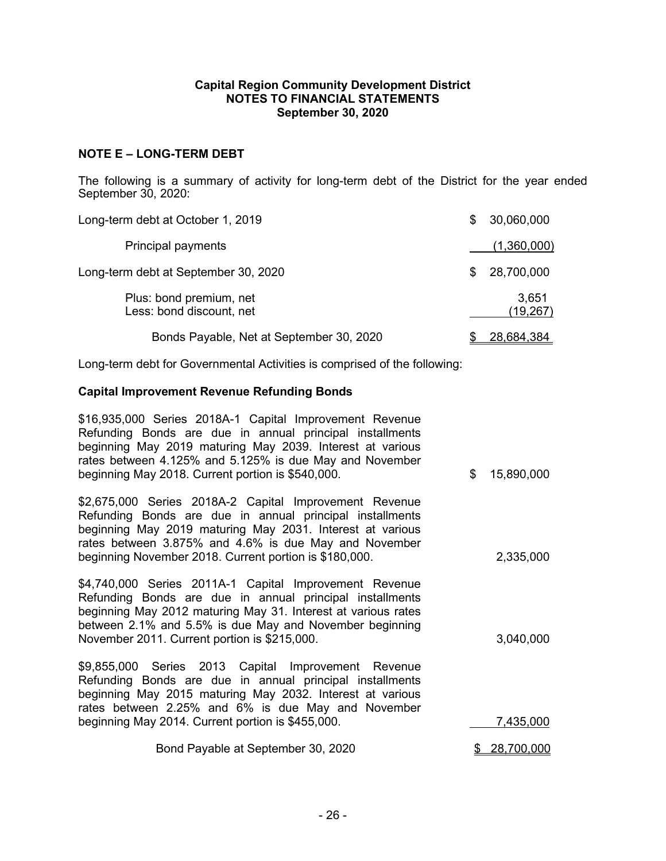## **NOTE E – LONG-TERM DEBT**

The following is a summary of activity for long-term debt of the District for the year ended September 30, 2020:

| Long-term debt at October 1, 2019                   |   | 30,060,000         |
|-----------------------------------------------------|---|--------------------|
| Principal payments                                  |   | (1,360,000)        |
| Long-term debt at September 30, 2020                | S | 28,700,000         |
| Plus: bond premium, net<br>Less: bond discount, net |   | 3,651<br>(19, 267) |
| Bonds Payable, Net at September 30, 2020            |   | <u>28,684,384</u>  |

Long-term debt for Governmental Activities is comprised of the following:

# **Capital Improvement Revenue Refunding Bonds**

| \$16,935,000 Series 2018A-1 Capital Improvement Revenue<br>Refunding Bonds are due in annual principal installments<br>beginning May 2019 maturing May 2039. Interest at various<br>rates between 4.125% and 5.125% is due May and November<br>beginning May 2018. Current portion is \$540,000.   | $\mathfrak{L}$<br>15,890,000 |
|----------------------------------------------------------------------------------------------------------------------------------------------------------------------------------------------------------------------------------------------------------------------------------------------------|------------------------------|
| \$2,675,000 Series 2018A-2 Capital Improvement Revenue<br>Refunding Bonds are due in annual principal installments<br>beginning May 2019 maturing May 2031. Interest at various<br>rates between 3.875% and 4.6% is due May and November<br>beginning November 2018. Current portion is \$180,000. | 2,335,000                    |
| \$4,740,000 Series 2011A-1 Capital Improvement Revenue<br>Refunding Bonds are due in annual principal installments<br>beginning May 2012 maturing May 31. Interest at various rates<br>between 2.1% and 5.5% is due May and November beginning<br>November 2011. Current portion is \$215,000.     | 3,040,000                    |
| \$9,855,000 Series 2013 Capital Improvement Revenue<br>Refunding Bonds are due in annual principal installments<br>beginning May 2015 maturing May 2032. Interest at various<br>rates between 2.25% and 6% is due May and November                                                                 |                              |
| beginning May 2014. Current portion is \$455,000.                                                                                                                                                                                                                                                  | 7,435,000                    |
| Bond Payable at September 30, 2020                                                                                                                                                                                                                                                                 | <u>28,700,000</u>            |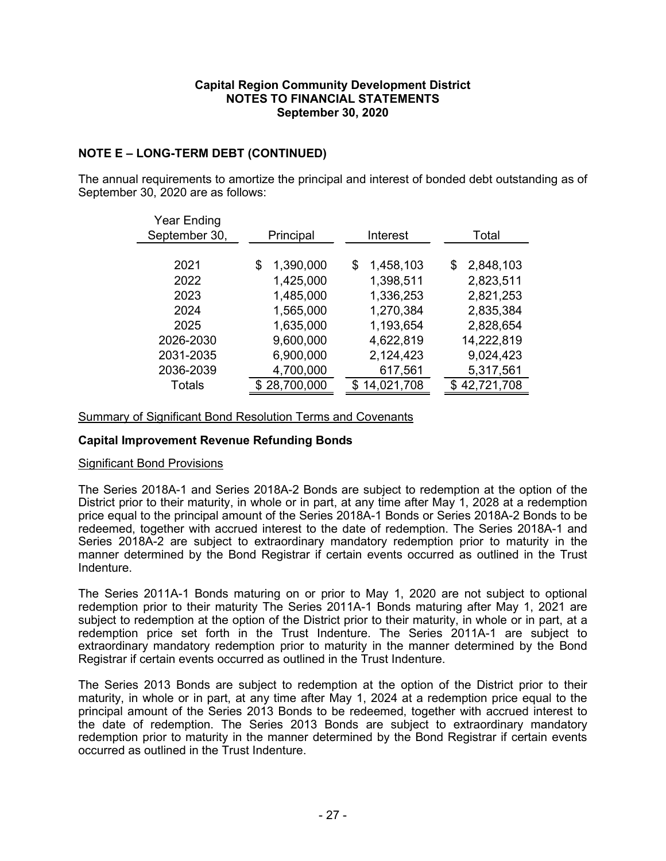# **NOTE E – LONG-TERM DEBT (CONTINUED)**

The annual requirements to amortize the principal and interest of bonded debt outstanding as of September 30, 2020 are as follows:

| <b>Year Ending</b> |                 |                 |                 |
|--------------------|-----------------|-----------------|-----------------|
| September 30,      | Principal       | Interest        | Total           |
|                    |                 |                 |                 |
| 2021               | 1,390,000<br>\$ | 1,458,103<br>\$ | 2,848,103<br>\$ |
| 2022               | 1,425,000       | 1,398,511       | 2,823,511       |
| 2023               | 1,485,000       | 1,336,253       | 2,821,253       |
| 2024               | 1,565,000       | 1,270,384       | 2,835,384       |
| 2025               | 1,635,000       | 1,193,654       | 2,828,654       |
| 2026-2030          | 9,600,000       | 4,622,819       | 14,222,819      |
| 2031-2035          | 6,900,000       | 2,124,423       | 9,024,423       |
| 2036-2039          | 4,700,000       | 617,561         | 5,317,561       |
| Totals             | \$28,700,000    | 14,021,708      | \$42,721,708    |

## Summary of Significant Bond Resolution Terms and Covenants

# **Capital Improvement Revenue Refunding Bonds**

#### Significant Bond Provisions

The Series 2018A-1 and Series 2018A-2 Bonds are subject to redemption at the option of the District prior to their maturity, in whole or in part, at any time after May 1, 2028 at a redemption price equal to the principal amount of the Series 2018A-1 Bonds or Series 2018A-2 Bonds to be redeemed, together with accrued interest to the date of redemption. The Series 2018A-1 and Series 2018A-2 are subject to extraordinary mandatory redemption prior to maturity in the manner determined by the Bond Registrar if certain events occurred as outlined in the Trust Indenture.

The Series 2011A-1 Bonds maturing on or prior to May 1, 2020 are not subject to optional redemption prior to their maturity The Series 2011A-1 Bonds maturing after May 1, 2021 are subject to redemption at the option of the District prior to their maturity, in whole or in part, at a redemption price set forth in the Trust Indenture. The Series 2011A-1 are subject to extraordinary mandatory redemption prior to maturity in the manner determined by the Bond Registrar if certain events occurred as outlined in the Trust Indenture.

The Series 2013 Bonds are subject to redemption at the option of the District prior to their maturity, in whole or in part, at any time after May 1, 2024 at a redemption price equal to the principal amount of the Series 2013 Bonds to be redeemed, together with accrued interest to the date of redemption. The Series 2013 Bonds are subject to extraordinary mandatory redemption prior to maturity in the manner determined by the Bond Registrar if certain events occurred as outlined in the Trust Indenture.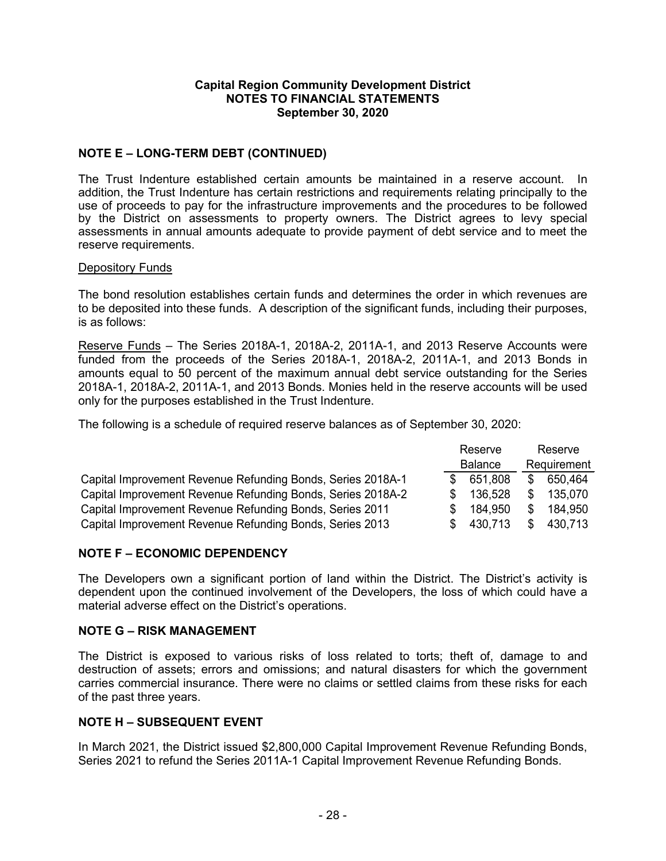# **NOTE E – LONG-TERM DEBT (CONTINUED)**

The Trust Indenture established certain amounts be maintained in a reserve account. In addition, the Trust Indenture has certain restrictions and requirements relating principally to the use of proceeds to pay for the infrastructure improvements and the procedures to be followed by the District on assessments to property owners. The District agrees to levy special assessments in annual amounts adequate to provide payment of debt service and to meet the reserve requirements.

#### Depository Funds

The bond resolution establishes certain funds and determines the order in which revenues are to be deposited into these funds. A description of the significant funds, including their purposes, is as follows:

Reserve Funds - The Series 2018A-1, 2018A-2, 2011A-1, and 2013 Reserve Accounts were funded from the proceeds of the Series 2018A-1, 2018A-2, 2011A-1, and 2013 Bonds in amounts equal to 50 percent of the maximum annual debt service outstanding for the Series 2018A-1, 2018A-2, 2011A-1, and 2013 Bonds. Monies held in the reserve accounts will be used only for the purposes established in the Trust Indenture.

The following is a schedule of required reserve balances as of September 30, 2020:

|                                                             |                | Reserve |             | Reserve |
|-------------------------------------------------------------|----------------|---------|-------------|---------|
|                                                             | <b>Balance</b> |         | Requirement |         |
| Capital Improvement Revenue Refunding Bonds, Series 2018A-1 | S.             | 651,808 |             | 650.464 |
| Capital Improvement Revenue Refunding Bonds, Series 2018A-2 |                | 136.528 | \$.         | 135.070 |
| Capital Improvement Revenue Refunding Bonds, Series 2011    |                | 184.950 | \$.         | 184.950 |
| Capital Improvement Revenue Refunding Bonds, Series 2013    |                | 430.713 |             | 430.713 |

# **NOTE F – ECONOMIC DEPENDENCY**

The Developers own a significant portion of land within the District. The District's activity is dependent upon the continued involvement of the Developers, the loss of which could have a material adverse effect on the District's operations.

# **NOTE G – RISK MANAGEMENT**

The District is exposed to various risks of loss related to torts; theft of, damage to and destruction of assets; errors and omissions; and natural disasters for which the government carries commercial insurance. There were no claims or settled claims from these risks for each of the past three years.

# **NOTE H – SUBSEQUENT EVENT**

In March 2021, the District issued \$2,800,000 Capital Improvement Revenue Refunding Bonds, Series 2021 to refund the Series 2011A-1 Capital Improvement Revenue Refunding Bonds.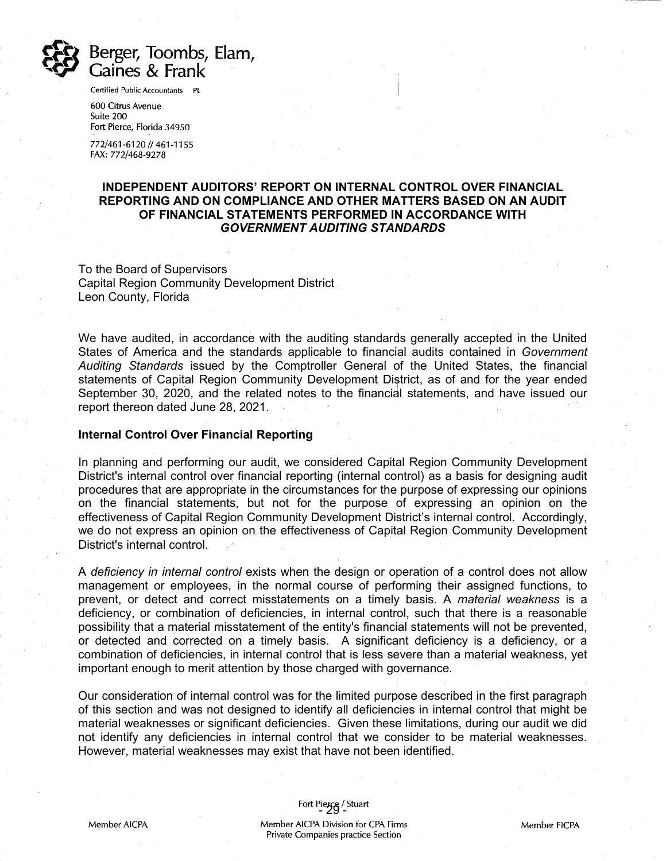

Certified Public Accountants PL

600 Citrus Avenue Suite 200 Fort Pierce, Florida 34950

772/461-6120 // 461-1155 FAX: 772/468-9278

#### **INDEPENDENT AUDITORS' REPORT ON INTERNAL CONTROL OVER FINANCIAL REPORTING AND ON COMPLIANCE AND OTHER MATTERS BASED ON AN AUDIT OF FINANCIAL STATEMENTS PERFORMED IN ACCORDANCE WITH** *GOVERNMENT AUDITING STANDARDS*

To the Board of Supervisors Capital Region Community Development District Leon County, Florida

We have audited, in accordance with the auditing standards generally accepted in the United States of America and the standards applicable to financial audits contained in *Government Auditing Standards* issued by the Comptroller General of the United States, the financial statements of Capital Region Community Development District, as of and for the year ended September 30, 2020, and the related notes to the financial statements, and have issued our report thereon dated June 28, 2021.

#### **Internal Control Over Financial Reporting**

In planning and performing our audit, we considered Capital Region Community Development District's internal control over financial reporting (internal control) as a basis for designing audit procedures that are appropriate in the circumstances for the purpose of expressing our opinions on the financial statements, but not for the purpose of expressing an opinion on the effectiveness of Capital Region Community Development District's internal control. Accordingly, we do not express an opinion on the effectiveness of Capital Region Community Development District's internal control.

A *deficiency in internal control* exists when the design or operation of a control does not allow management or employees, in the normal course of performing their assigned functions, to prevent, or detect and correct misstatements on a timely basis. A *material weakness* is a deficiency, or combination of deficiencies, in internal control, such that there is a reasonable possibility that a material misstatement of the entity's financial statements will not be prevented, or detected and corrected on a timely basis. A significant deficiency is a deficiency, or a combination of deficiencies, in internal control that is less severe than a material weakness, yet important enough to merit attention by those charged with governance.

Our consideration of internal control was for the limited purpose described in the first paragraph of this section and was not designed to identify all deficiencies in internal control that might be material weaknesses or significant deficiencies. Given these limitations, during our audit we did not identify any deficiencies in internal control that we consider to be material weaknesses. However, material weaknesses may exist that have not been identified.

Fort Pierce / Stuart Member AICPA Division for CPA Firms Private Companies practice Section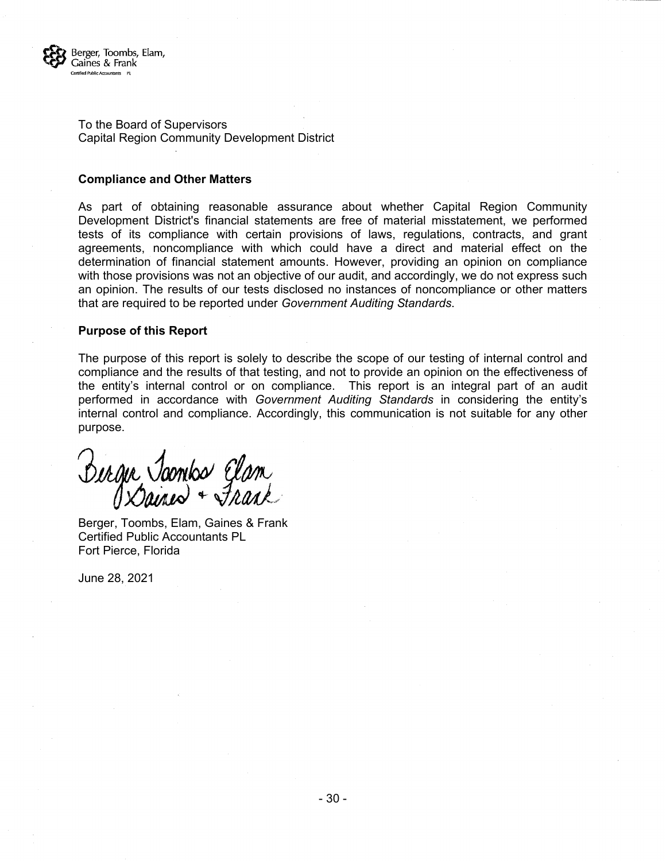

To the Board of Supervisors Capital Region Community Development District

#### **Compliance and Other Matters**

As part of obtaining reasonable assurance about whether Capital Region Community Development District's financial statements are free of material misstatement, we performed tests of its compliance with certain provisions of laws, regulations, contracts, and grant agreements, noncompliance with which could have a direct and material effect on the determination of financial statement amounts. However, providing an opinion on compliance with those provisions was not an objective of our audit, and accordingly, we do not express such an opinion. The results of our tests disclosed no instances of noncompliance or other matters that are required to be reported under *Government Auditing Standards*.

#### **Purpose of this Report**

The purpose of this report is solely to describe the scope of our testing of internal control and compliance and the results of that testing, and not to provide an opinion on the effectiveness of the entity's internal control or on compliance. This report is an integral part of an audit performed in accordance with *Government Auditing Standards* in considering the entity's internal control and compliance. Accordingly, this communication is not suitable for any other purpose.

Bergin Joonks Glam

Berger, Toombs, Elam, Gaines & Frank Certified Public Accountants PL Fort Pierce, Florida

June 28, 2021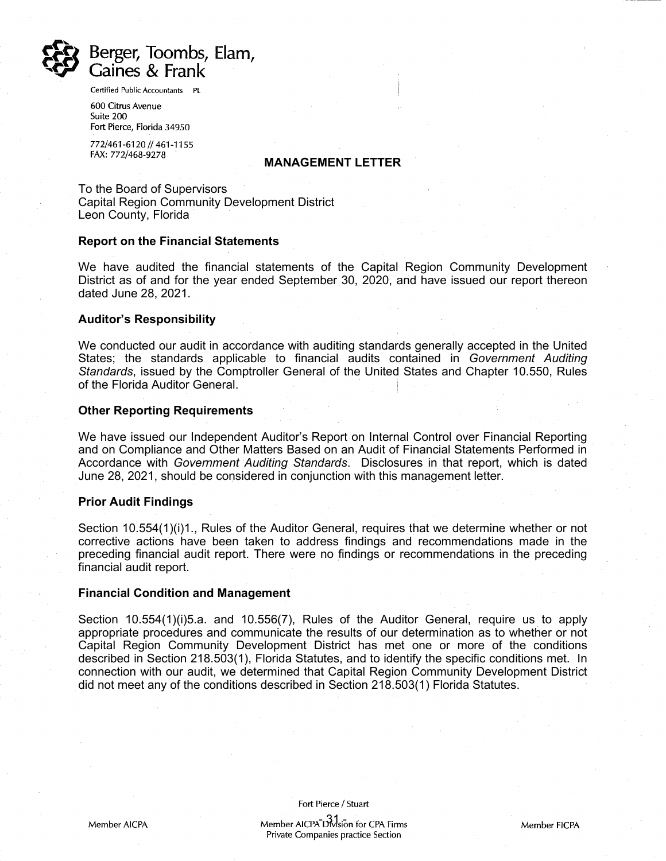

Certified Public Accountants PL

600 Citrus Avenue Suite 200 Fort Pierce, Florida 34950

772/461-6120 // 461-1155 FAX: 772/468-9278

#### **MANAGEMENT LETTER**

To the Board of Supervisors Capital Region Community Development District Leon County, Florida

#### **Report on the Financial Statements**

We have audited the financial statements of the Capital Region Community Development District as of and for the year ended September 30, 2020, and have issued our report thereon dated June 28, 2021.

#### **Auditor's Responsibility**

We conducted our audit in accordance with auditing standards generally accepted in the United States; the standards applicable to financial audits contained in *Government Auditing Standards*, issued by the Comptroller General of the United States and Chapter 10.550, Rules of the Florida Auditor General.

#### **Other Reporting Requirements**

We have issued our Independent Auditor's Report on Internal Control over Financial Reporting and on Compliance and Other Matters Based on an Audit of Financial Statements Performed in Accordance with *Government Auditing Standards*. Disclosures in that report, which is dated June 28, 2021, should be considered in conjunction with this management letter.

#### **Prior Audit Findings**

Section 10.554(1)(i)1., Rules of the Auditor General, requires that we determine whether or not corrective actions have been taken to address findings and recommendations made in the preceding financial audit report. There were no findings or recommendations in the preceding financial audit report.

#### **Financial Condition and Management**

Section 10.554(1)(i)5.a. and 10.556(7), Rules of the Auditor General, require us to apply appropriate procedures and communicate the results of our determination as to whether or not Capital Region Community Development District has met one or more of the conditions described in Section 218.503(1), Florida Statutes, and to identify the specific conditions met. In connection with our audit, we determined that Capital Region Community Development District did not meet any of the conditions described in Section 218.503(1) Florida Statutes.

Fort Pierce / Stuart

Member AICPA<sup>-</sup>DN<sub>2</sub> sion for CPA Firms Private Companies practice Section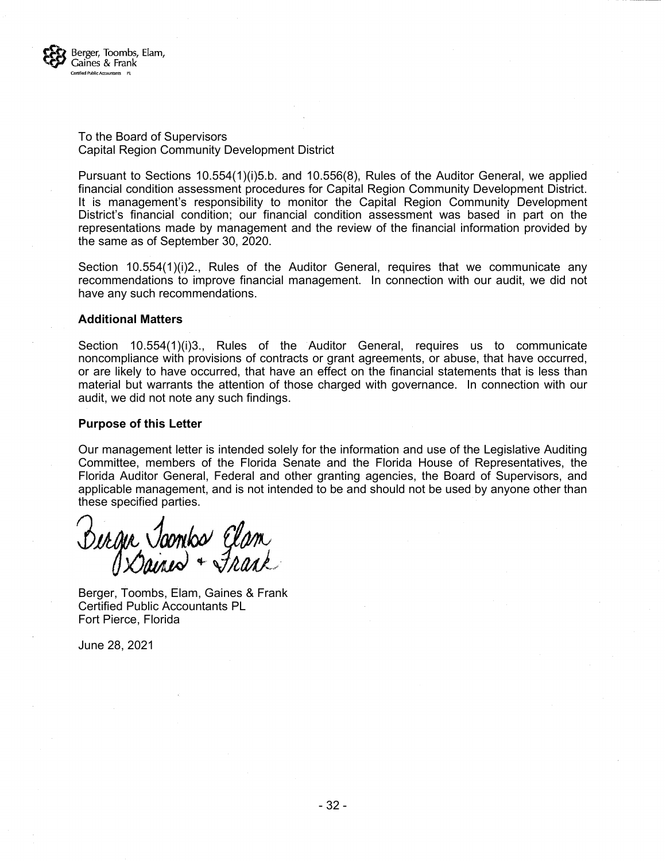

To the Board of Supervisors Capital Region Community Development District

Pursuant to Sections 10.554(1)(i)5.b. and 10.556(8), Rules of the Auditor General, we applied financial condition assessment procedures for Capital Region Community Development District. It is management's responsibility to monitor the Capital Region Community Development District's financial condition; our financial condition assessment was based in part on the representations made by management and the review of the financial information provided by the same as of September 30, 2020.

Section 10.554(1)(i)2., Rules of the Auditor General, requires that we communicate any recommendations to improve financial management. In connection with our audit, we did not have any such recommendations.

#### **Additional Matters**

Section 10.554(1)(i)3., Rules of the Auditor General, requires us to communicate noncompliance with provisions of contracts or grant agreements, or abuse, that have occurred, or are likely to have occurred, that have an effect on the financial statements that is less than material but warrants the attention of those charged with governance. In connection with our audit, we did not note any such findings.

#### **Purpose of this Letter**

Our management letter is intended solely for the information and use of the Legislative Auditing Committee, members of the Florida Senate and the Florida House of Representatives, the Florida Auditor General, Federal and other granting agencies, the Board of Supervisors, and applicable management, and is not intended to be and should not be used by anyone other than these specified parties.

Birgir Jambo Glam

Berger, Toombs, Elam, Gaines & Frank Certified Public Accountants PL Fort Pierce, Florida

June 28, 2021